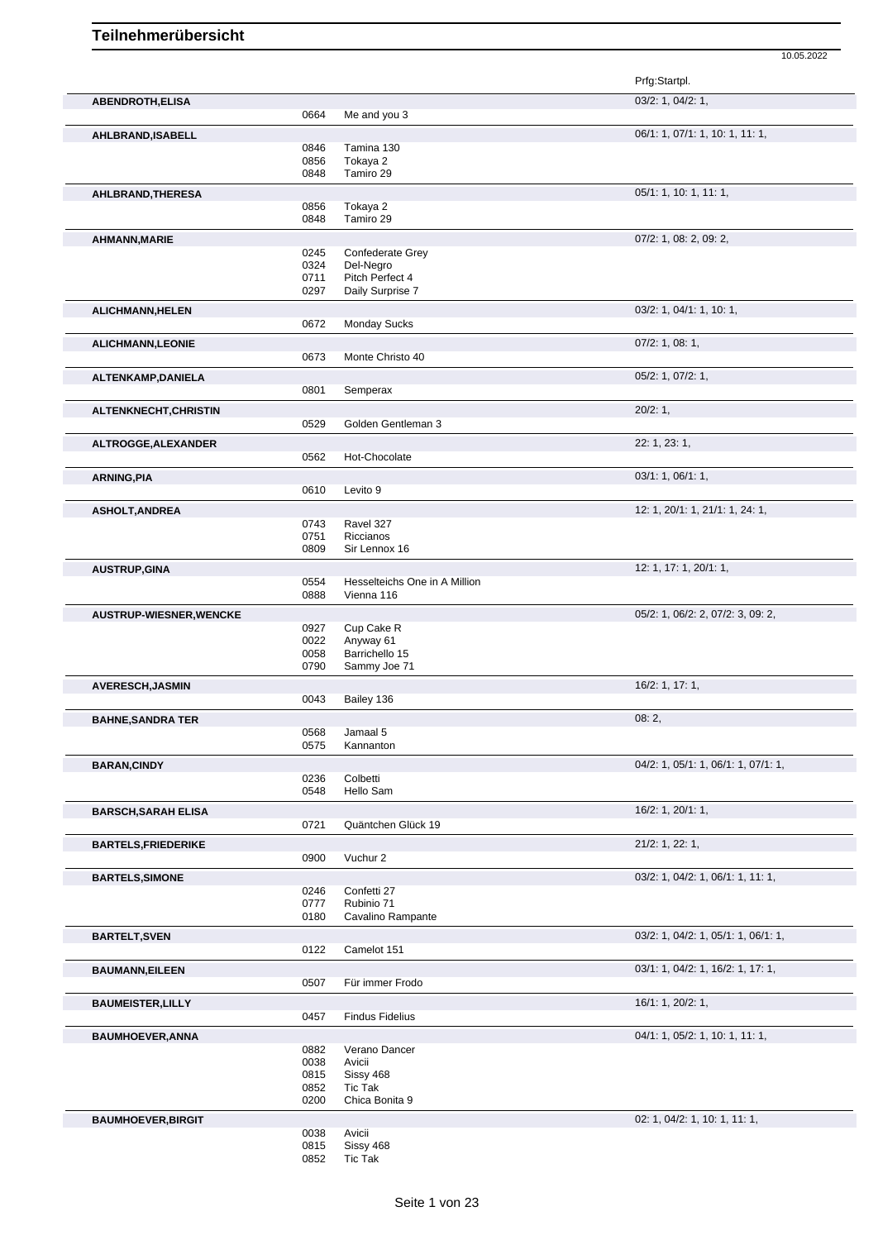|                                |      |                               | Prfg:Startpl.                              |
|--------------------------------|------|-------------------------------|--------------------------------------------|
| <b>ABENDROTH,ELISA</b>         |      |                               | 03/2: 1, 04/2: 1,                          |
|                                | 0664 | Me and you 3                  |                                            |
| AHLBRAND, ISABELL              |      |                               | 06/1: 1, 07/1: 1, 10: 1, 11: 1,            |
|                                | 0846 | Tamina 130                    |                                            |
|                                | 0856 | Tokaya 2                      |                                            |
|                                | 0848 | Tamiro 29                     |                                            |
| AHLBRAND, THERESA              |      |                               | 05/1: 1, 10: 1, 11: 1,                     |
|                                | 0856 | Tokaya 2                      |                                            |
|                                | 0848 | Tamiro 29                     |                                            |
| AHMANN, MARIE                  |      |                               | 07/2: 1, 08: 2, 09: 2,                     |
|                                | 0245 | Confederate Grey              |                                            |
|                                | 0324 | Del-Negro                     |                                            |
|                                | 0711 | Pitch Perfect 4               |                                            |
|                                | 0297 | Daily Surprise 7              |                                            |
| ALICHMANN, HELEN               |      |                               | 03/2: 1, 04/1: 1, 10: 1,                   |
|                                | 0672 | <b>Monday Sucks</b>           |                                            |
|                                |      |                               |                                            |
| <b>ALICHMANN, LEONIE</b>       |      |                               | $07/2$ : 1, 08: 1,                         |
|                                | 0673 | Monte Christo 40              |                                            |
| ALTENKAMP, DANIELA             |      |                               | 05/2: 1, 07/2: 1,                          |
|                                | 0801 | Semperax                      |                                            |
|                                |      |                               |                                            |
| ALTENKNECHT, CHRISTIN          |      | Golden Gentleman 3            | 20/2:1,                                    |
|                                | 0529 |                               |                                            |
| ALTROGGE, ALEXANDER            |      |                               | 22: 1, 23: 1,                              |
|                                | 0562 | Hot-Chocolate                 |                                            |
| <b>ARNING, PIA</b>             |      |                               | 03/1: 1, 06/1: 1,                          |
|                                | 0610 | Levito 9                      |                                            |
|                                |      |                               |                                            |
| <b>ASHOLT, ANDREA</b>          |      |                               | 12: 1, 20/1: 1, 21/1: 1, 24: 1,            |
|                                | 0743 | Ravel 327                     |                                            |
|                                | 0751 | Riccianos                     |                                            |
|                                | 0809 | Sir Lennox 16                 |                                            |
| <b>AUSTRUP, GINA</b>           |      |                               | 12: 1, 17: 1, 20/1: 1,                     |
|                                | 0554 | Hesselteichs One in A Million |                                            |
|                                | 0888 | Vienna 116                    |                                            |
|                                |      |                               | 05/2: 1, 06/2: 2, 07/2: 3, 09: 2,          |
| <b>AUSTRUP-WIESNER, WENCKE</b> | 0927 | Cup Cake R                    |                                            |
|                                | 0022 | Anyway 61                     |                                            |
|                                | 0058 | Barrichello 15                |                                            |
|                                | 0790 | Sammy Joe 71                  |                                            |
|                                |      |                               | 16/2: 1, 17: 1,                            |
| <b>AVERESCH, JASMIN</b>        | 0043 | Bailey 136                    |                                            |
|                                |      |                               |                                            |
| <b>BAHNE, SANDRA TER</b>       |      |                               | 08:2,                                      |
|                                | 0568 | Jamaal 5                      |                                            |
|                                | 0575 | Kannanton                     |                                            |
| <b>BARAN, CINDY</b>            |      |                               | 04/2: 1, 05/1: 1, 06/1: 1, 07/1: 1,        |
|                                | 0236 | Colbetti                      |                                            |
|                                | 0548 | Hello Sam                     |                                            |
|                                |      |                               |                                            |
| <b>BARSCH, SARAH ELISA</b>     | 0721 | Quäntchen Glück 19            | 16/2: 1, 20/1: 1,                          |
|                                |      |                               |                                            |
| <b>BARTELS, FRIEDERIKE</b>     |      |                               | $21/2$ : 1, 22: 1,                         |
|                                | 0900 | Vuchur 2                      |                                            |
| <b>BARTELS, SIMONE</b>         |      |                               | $03/2$ : 1, $04/2$ : 1, $06/1$ : 1, 11: 1, |
|                                | 0246 | Confetti 27                   |                                            |
|                                | 0777 | Rubinio 71                    |                                            |
|                                | 0180 | Cavalino Rampante             |                                            |
|                                |      |                               |                                            |
| <b>BARTELT, SVEN</b>           |      |                               | 03/2: 1, 04/2: 1, 05/1: 1, 06/1: 1,        |
|                                | 0122 | Camelot 151                   |                                            |
| <b>BAUMANN, EILEEN</b>         |      |                               | 03/1: 1, 04/2: 1, 16/2: 1, 17: 1,          |
|                                | 0507 | Für immer Frodo               |                                            |
| <b>BAUMEISTER, LILLY</b>       |      |                               | 16/1: 1, 20/2: 1,                          |
|                                | 0457 | <b>Findus Fidelius</b>        |                                            |
|                                |      |                               |                                            |
| <b>BAUMHOEVER, ANNA</b>        |      |                               | 04/1: 1, 05/2: 1, 10: 1, 11: 1,            |
|                                | 0882 | Verano Dancer                 |                                            |
|                                | 0038 | Avicii                        |                                            |
|                                | 0815 | Sissy 468                     |                                            |
|                                | 0852 | Tic Tak                       |                                            |
|                                | 0200 | Chica Bonita 9                |                                            |
| <b>BAUMHOEVER, BIRGIT</b>      |      |                               | 02: 1, 04/2: 1, 10: 1, 11: 1,              |
|                                | 0038 | Avicii                        |                                            |
|                                | 0815 | Sissy 468                     |                                            |
|                                | 0852 | Tic Tak                       |                                            |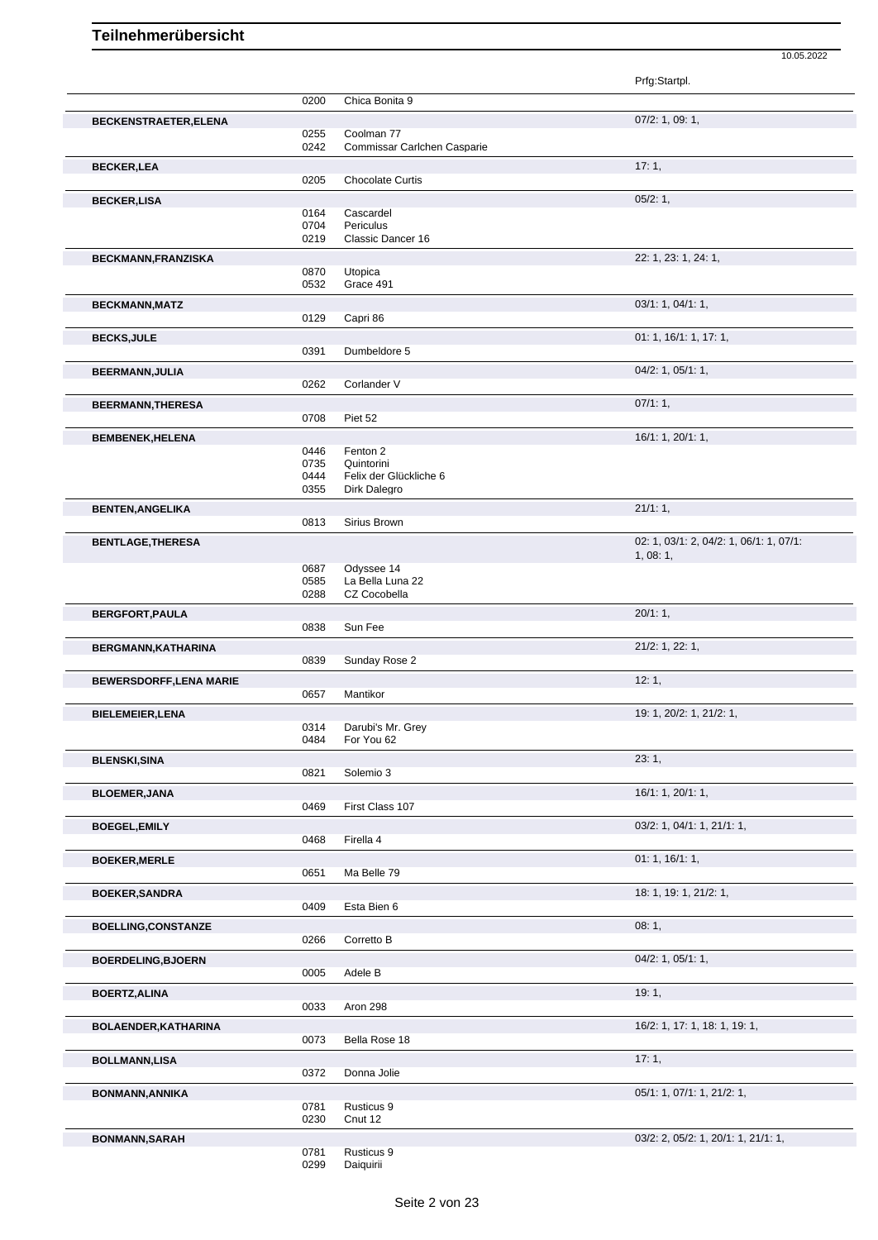|                                |              |                                      | Prfg:Startpl.                                      |
|--------------------------------|--------------|--------------------------------------|----------------------------------------------------|
|                                | 0200         | Chica Bonita 9                       |                                                    |
| <b>BECKENSTRAETER, ELENA</b>   |              |                                      | 07/2: 1, 09: 1,                                    |
|                                | 0255         | Coolman 77                           |                                                    |
|                                | 0242         | Commissar Carlchen Casparie          |                                                    |
| <b>BECKER,LEA</b>              |              |                                      | 17:1,                                              |
|                                | 0205         | <b>Chocolate Curtis</b>              |                                                    |
| <b>BECKER,LISA</b>             |              |                                      | 05/2:1,                                            |
|                                | 0164         | Cascardel                            |                                                    |
|                                | 0704         | Periculus                            |                                                    |
|                                | 0219         | Classic Dancer 16                    |                                                    |
| BECKMANN, FRANZISKA            |              |                                      | 22: 1, 23: 1, 24: 1,                               |
|                                | 0870         | Utopica                              |                                                    |
|                                | 0532         | Grace 491                            |                                                    |
| <b>BECKMANN, MATZ</b>          |              |                                      | 03/1: 1, 04/1: 1,                                  |
|                                | 0129         | Capri 86                             |                                                    |
| <b>BECKS, JULE</b>             |              |                                      | 01: 1, 16/1: 1, 17: 1,                             |
|                                | 0391         | Dumbeldore 5                         |                                                    |
|                                |              |                                      | 04/2: 1, 05/1: 1,                                  |
| <b>BEERMANN, JULIA</b>         | 0262         | Corlander V                          |                                                    |
|                                |              |                                      |                                                    |
| <b>BEERMANN, THERESA</b>       |              |                                      | $07/1:1$ ,                                         |
|                                | 0708         | Piet 52                              |                                                    |
| <b>BEMBENEK, HELENA</b>        |              |                                      | 16/1: 1, 20/1: 1,                                  |
|                                | 0446         | Fenton 2                             |                                                    |
|                                | 0735<br>0444 | Quintorini<br>Felix der Glückliche 6 |                                                    |
|                                | 0355         | Dirk Dalegro                         |                                                    |
|                                |              |                                      | 21/1:1,                                            |
| <b>BENTEN, ANGELIKA</b>        | 0813         | Sirius Brown                         |                                                    |
|                                |              |                                      |                                                    |
| <b>BENTLAGE, THERESA</b>       |              |                                      | 02: 1, 03/1: 2, 04/2: 1, 06/1: 1, 07/1:<br>1,08:1, |
|                                | 0687         | Odyssee 14                           |                                                    |
|                                | 0585         | La Bella Luna 22                     |                                                    |
|                                | 0288         | CZ Cocobella                         |                                                    |
| BERGFORT, PAULA                |              |                                      | 20/1:1,                                            |
|                                | 0838         | Sun Fee                              |                                                    |
| BERGMANN, KATHARINA            |              |                                      | 21/2: 1, 22: 1,                                    |
|                                | 0839         | Sunday Rose 2                        |                                                    |
|                                |              |                                      | 12:1,                                              |
| <b>BEWERSDORFF, LENA MARIE</b> | 0657         | Mantikor                             |                                                    |
|                                |              |                                      |                                                    |
| <b>BIELEMEIER, LENA</b>        | 0314         |                                      | 19: 1, 20/2: 1, 21/2: 1,                           |
|                                | 0484         | Darubi's Mr. Grey<br>For You 62      |                                                    |
|                                |              |                                      |                                                    |
| <b>BLENSKI, SINA</b>           | 0821         | Solemio 3                            | 23:1,                                              |
|                                |              |                                      |                                                    |
| <b>BLOEMER, JANA</b>           |              |                                      | 16/1: 1, 20/1: 1,                                  |
|                                | 0469         | First Class 107                      |                                                    |
| <b>BOEGEL, EMILY</b>           |              |                                      | 03/2: 1, 04/1: 1, 21/1: 1,                         |
|                                | 0468         | Firella 4                            |                                                    |
| <b>BOEKER, MERLE</b>           |              |                                      | 01: 1, 16/1: 1,                                    |
|                                | 0651         | Ma Belle 79                          |                                                    |
| <b>BOEKER, SANDRA</b>          |              |                                      | 18: 1, 19: 1, 21/2: 1,                             |
|                                | 0409         | Esta Bien 6                          |                                                    |
|                                |              |                                      | 08:1,                                              |
| <b>BOELLING,CONSTANZE</b>      | 0266         | Corretto B                           |                                                    |
|                                |              |                                      |                                                    |
| <b>BOERDELING, BJOERN</b>      |              |                                      | $04/2$ : 1, $05/1$ : 1,                            |
|                                | 0005         | Adele B                              |                                                    |
| <b>BOERTZ, ALINA</b>           |              |                                      | 19:1,                                              |
|                                | 0033         | Aron 298                             |                                                    |
| <b>BOLAENDER, KATHARINA</b>    |              |                                      | 16/2: 1, 17: 1, 18: 1, 19: 1,                      |
|                                | 0073         | Bella Rose 18                        |                                                    |
| <b>BOLLMANN,LISA</b>           |              |                                      | 17:1,                                              |
|                                | 0372         | Donna Jolie                          |                                                    |
|                                |              |                                      | 05/1: 1, 07/1: 1, 21/2: 1,                         |
|                                |              |                                      |                                                    |
| BONMANN, ANNIKA                |              |                                      |                                                    |
|                                | 0781<br>0230 | Rusticus 9<br>Cnut 12                |                                                    |
| <b>BONMANN, SARAH</b>          |              |                                      | 03/2: 2, 05/2: 1, 20/1: 1, 21/1: 1,                |

0781 Rusticus 9<br>0299 Daiquirii Daiquirii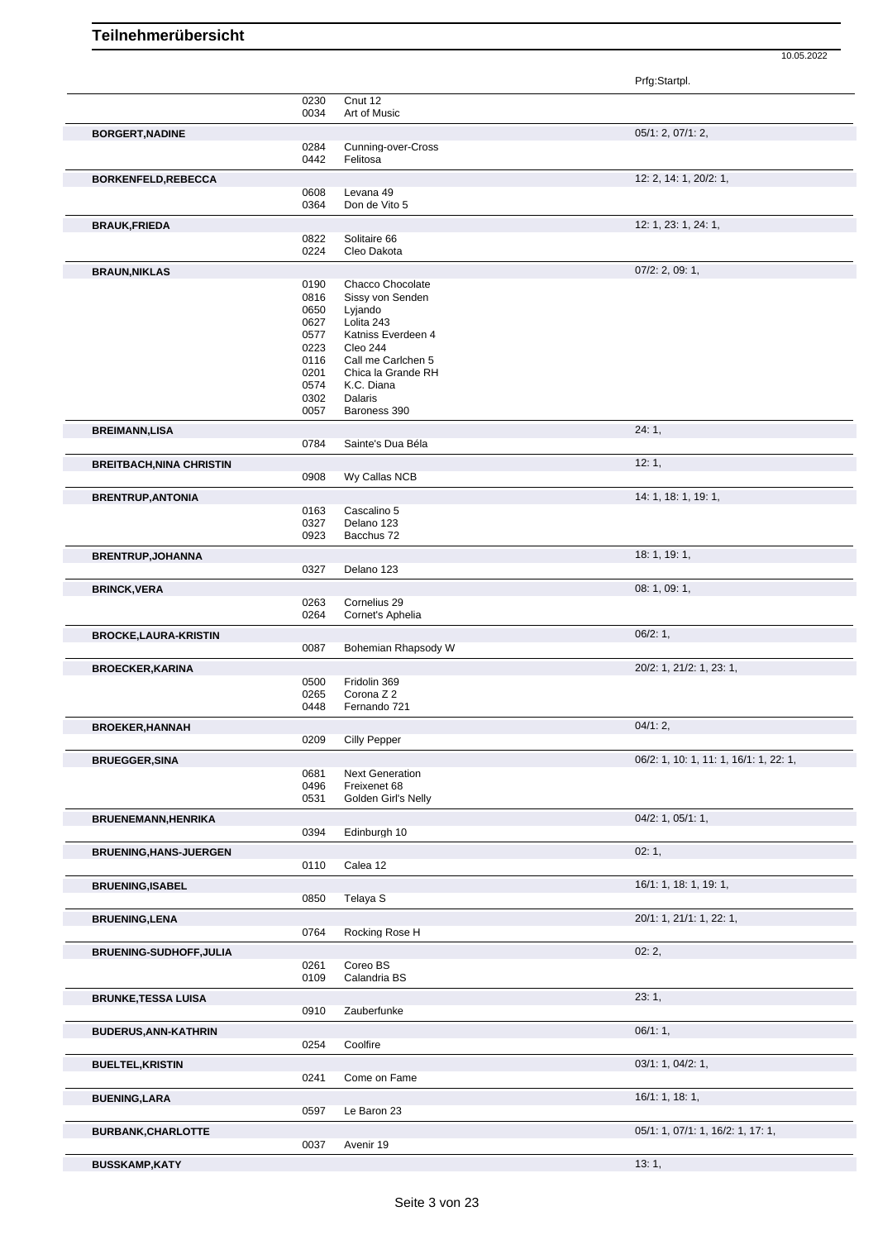|                                 |              |                                          | Prfg:Startpl.                          |
|---------------------------------|--------------|------------------------------------------|----------------------------------------|
|                                 | 0230         | Cnut 12<br>Art of Music                  |                                        |
|                                 | 0034         |                                          |                                        |
| <b>BORGERT, NADINE</b>          | 0284         | Cunning-over-Cross                       | 05/1: 2, 07/1: 2,                      |
|                                 | 0442         | Felitosa                                 |                                        |
| <b>BORKENFELD, REBECCA</b>      |              |                                          | 12: 2, 14: 1, 20/2: 1,                 |
|                                 | 0608         | Levana 49                                |                                        |
|                                 | 0364         | Don de Vito 5                            |                                        |
| <b>BRAUK, FRIEDA</b>            |              |                                          | 12: 1, 23: 1, 24: 1,                   |
|                                 | 0822<br>0224 | Solitaire 66<br>Cleo Dakota              |                                        |
|                                 |              |                                          | $07/2$ : 2, 09: 1,                     |
| <b>BRAUN, NIKLAS</b>            | 0190         | Chacco Chocolate                         |                                        |
|                                 | 0816         | Sissy von Senden                         |                                        |
|                                 | 0650<br>0627 | Lyjando<br>Lolita 243                    |                                        |
|                                 | 0577         | Katniss Everdeen 4                       |                                        |
|                                 | 0223         | Cleo 244                                 |                                        |
|                                 | 0116<br>0201 | Call me Carlchen 5<br>Chica la Grande RH |                                        |
|                                 | 0574         | K.C. Diana                               |                                        |
|                                 | 0302         | Dalaris                                  |                                        |
|                                 | 0057         | Baroness 390                             |                                        |
| <b>BREIMANN,LISA</b>            |              |                                          | 24:1,                                  |
|                                 | 0784         | Sainte's Dua Béla                        |                                        |
| <b>BREITBACH, NINA CHRISTIN</b> | 0908         | Wy Callas NCB                            | 12:1,                                  |
|                                 |              |                                          |                                        |
| <b>BRENTRUP, ANTONIA</b>        | 0163         | Cascalino 5                              | 14: 1, 18: 1, 19: 1,                   |
|                                 | 0327         | Delano 123                               |                                        |
|                                 | 0923         | Bacchus 72                               |                                        |
| <b>BRENTRUP, JOHANNA</b>        |              |                                          | 18: 1, 19: 1,                          |
|                                 | 0327         | Delano 123                               |                                        |
| <b>BRINCK, VERA</b>             |              |                                          | 08:1,09:1,                             |
|                                 | 0263<br>0264 | Cornelius 29<br>Cornet's Aphelia         |                                        |
|                                 |              |                                          | 06/2:1,                                |
| <b>BROCKE,LAURA-KRISTIN</b>     | 0087         | Bohemian Rhapsody W                      |                                        |
| <b>BROECKER, KARINA</b>         |              |                                          | 20/2: 1, 21/2: 1, 23: 1,               |
|                                 | 0500         | Fridolin 369                             |                                        |
|                                 | 0265         | Corona Z 2                               |                                        |
|                                 | 0448         | Fernando 721                             |                                        |
| <b>BROEKER, HANNAH</b>          | 0209         | Cilly Pepper                             | $04/1:2$ ,                             |
|                                 |              |                                          | 06/2: 1, 10: 1, 11: 1, 16/1: 1, 22: 1, |
| <b>BRUEGGER, SINA</b>           | 0681         | <b>Next Generation</b>                   |                                        |
|                                 | 0496         | Freixenet 68                             |                                        |
|                                 | 0531         | Golden Girl's Nelly                      |                                        |
|                                 |              |                                          |                                        |
| <b>BRUENEMANN, HENRIKA</b>      |              |                                          | $04/2$ : 1, $05/1$ : 1,                |
|                                 | 0394         | Edinburgh 10                             |                                        |
| <b>BRUENING, HANS-JUERGEN</b>   |              |                                          | 02:1,                                  |
|                                 | 0110         | Calea 12                                 |                                        |
| <b>BRUENING, ISABEL</b>         |              |                                          | 16/1: 1, 18: 1, 19: 1,                 |
|                                 | 0850         | Telaya S                                 |                                        |
| <b>BRUENING, LENA</b>           |              |                                          | 20/1: 1, 21/1: 1, 22: 1,               |
|                                 | 0764         | Rocking Rose H                           |                                        |
| <b>BRUENING-SUDHOFF, JULIA</b>  |              |                                          | 02:2,                                  |
|                                 | 0261<br>0109 | Coreo BS<br>Calandria BS                 |                                        |
|                                 |              |                                          |                                        |
| <b>BRUNKE, TESSA LUISA</b>      | 0910         | Zauberfunke                              | 23:1,                                  |
| <b>BUDERUS, ANN-KATHRIN</b>     |              |                                          | 06/1:1,                                |
|                                 | 0254         | Coolfire                                 |                                        |
| <b>BUELTEL, KRISTIN</b>         |              |                                          | 03/1: 1, 04/2: 1,                      |
|                                 | 0241         | Come on Fame                             |                                        |
| <b>BUENING,LARA</b>             |              |                                          | 16/1: 1, 18: 1,                        |
|                                 | 0597         | Le Baron 23                              |                                        |
| <b>BURBANK, CHARLOTTE</b>       |              |                                          | 05/1: 1, 07/1: 1, 16/2: 1, 17: 1,      |
| <b>BUSSKAMP,KATY</b>            | 0037         | Avenir 19                                | 13:1,                                  |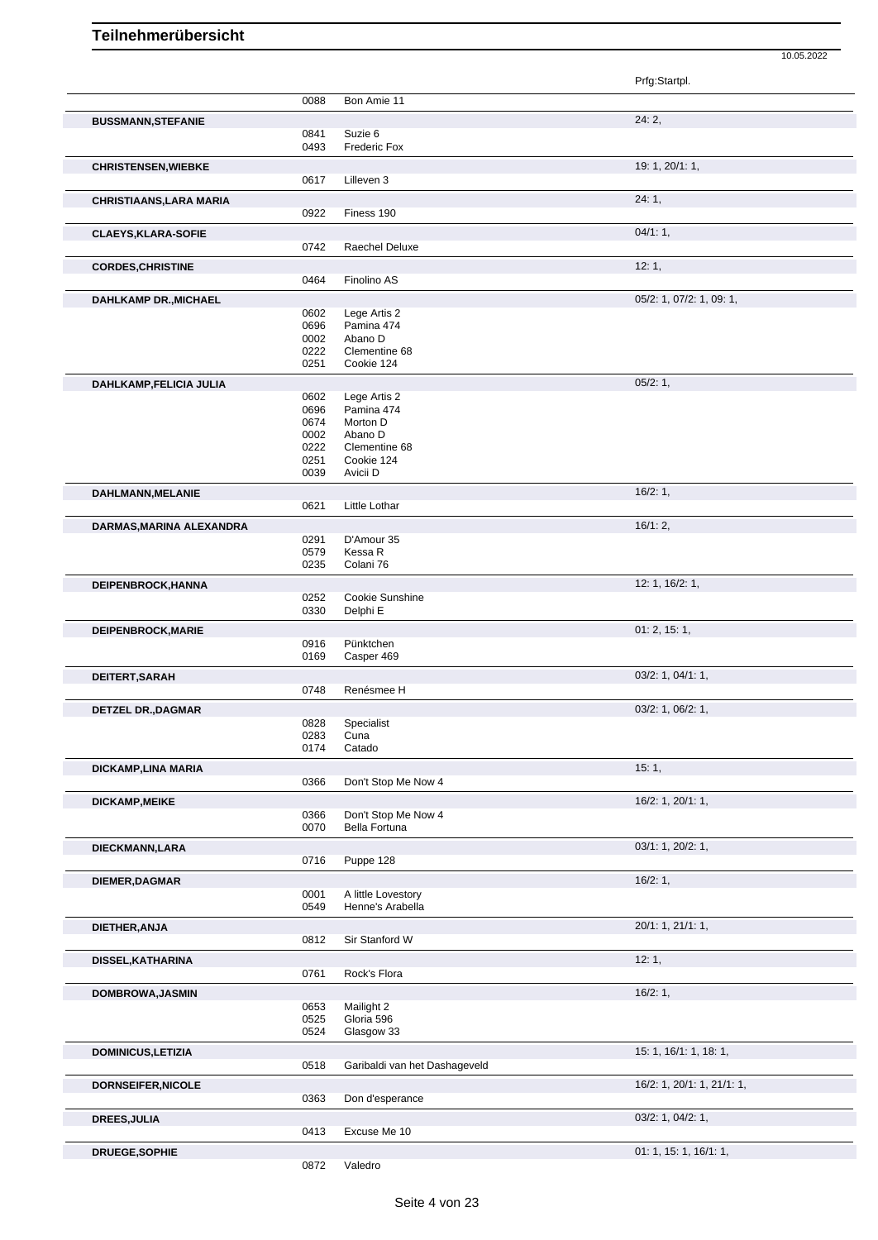Prfg:Startpl. 0088 Bon Amie 11 **BUSSMANN,STEFANIE** 24: 2, 0841 Suzie 6 0493 Frederic Fox **CHRISTENSEN, WIEBKE** 19: 1, 20/1: 1, 0617 Lilleven 3 **CHRISTIAANS,LARA MARIA** 24: 1, 0922 Finess 190 **CLAEYS,KLARA-SOFIE** 04/1: 1, 0742 Raechel Deluxe **CORDES, CHRISTINE** 12: 1, 0464 Finolino AS **DAHLKAMP DR.,MICHAEL** 0602 Lege Artis 2 0602 Decay 1, 07/2: 1, 07/2: 1, 09: 1, 0602 Lege Artis 2<br>0696 Pamina 474 0696 Pamina 474 0002 Abano D<br>0222 Clementi 0222 Clementine 68<br>0251 Cookie 124 Cookie 124 **DAHLKAMP,FELICIA JULIA** 0602 Lege Artis 2 0602 Lege Artis 2 0602 Lege Artis 2<br>0696 Pamina 474 0696 Pamina 474 0674 Morton D<br>0002 Abano D 0002 Abano D<br>0222 Clementi 0222 Clementine 68<br>0251 Cookie 124 0251 Cookie 124<br>0039 Avicii D Avicii D **DAHLMANN,MELANIE** 16/2: 1, Little Lothar **DARMAS, MARINA ALEXANDRA** 16/1: 2, 0291 D'Amour 35<br>0579 Kessa R Kessa R 0235 Colani 76 **DEIPENBROCK,HANNA** 12: 1, 16/2: 1, 16/2: 1, 16/2: 1, 16/2: 1, 16/2: 1, 16/2: 1, 16/2: 1, 16/2: 1, 16/2: 1, 16/2: 1, 16/2: 1, 16/2: 1, 16/2: 1, 16/2: 1, 16/2: 1, 16/2: 1, 16/2: 1, 16/2: 1, 16/2: 1, 16/2: 1, 16/2: 1, 16/2: 0252 Cookie Sunshine<br>0330 Delphi E Delphi E **DEIPENBROCK, MARIE** 0916 Pünktchen 01: 2, 15: 1, Pünktchen 0169 Casper 469 **DEITERT,SARAH** 03/2: 1, 04/1: 1, 03/2: 1, 04/1: 1, 03/2: 1, 04/1: 1, 03/2: 1, 04/1: 1, 03/2: 1, 04/1: 1, 05/2: 1, 04/1: 1, 07/1: 0748 Renésmee H Renésmee H **DETZEL DR., DAGMAR** 03/2: 1, 06/2: 1, 06/2: 1, 06/2: 1, 06/2: 1, 06/2: 1, 06/2: 1, 06/2: 1, 06/2: 1, 06/2: 1, 06/2: 1, 06/2: 1, 06/2: 1, 06/2: 1, 06/2: 1, 06/2: 1, 06/2: 1, 06/2: 1, 06/2: 1, 06/2: 1, 06/2: 1, 06/2: 1, 06/ 0828 Specialist<br>0283 Cuna Cuna 0174 Catado **DICKAMP,LINA MARIA** 15: 1, 0366 Don't Stop Me Now 4 **DICKAMP,MEIKE** 1, 20/1: 1, 20/1: 1, 20/1: 1, 20/1: 1, 20/1: 1, 20/1: 1, 20/1: 1, 20/1: 1, 20/1: 1, 20/1: 1, 20 0366 Don't Stop Me Now 4<br>0070 Bella Fortuna Bella Fortuna **DIECKMANN,LARA** 03/1: 1, 20/2: 1, 03/1: 1, 20/2: 1, 03/1: 1, 20/2: 1, 03/1: 1, 20/2: 1, 03/1: 1, 20/2: 1, 03/1: 1, 20/2: 1, 0716 Puppe 128 **DIEMER,DAGMAR** 16/2: 1, 0001 A little Lovestory<br>0549 Henne's Arabella Henne's Arabella **DIETHER,ANJA** 20/1: 1, 21/1: 1, Sir Stanford W **DISSEL,KATHARINA** 12: 1, Rock's Flora **DOMBROWA,JASMIN** 16/2: 1, 0653 Mailight 2 0525 Gloria 596 0524 Glasgow 33 **DOMINICUS,LETIZIA** 15: 1, 16/1: 1, 18: 1, 0518 Garibaldi van het Dashageveld **DORNSEIFER,NICOLE** 16/2: 1, 20/1: 1, 21/1: 1, 0363 Don d'esperance **DREES,JULIA** 03/2: 1, 04/2: 1, 0413 Excuse Me 10

0872 Valedro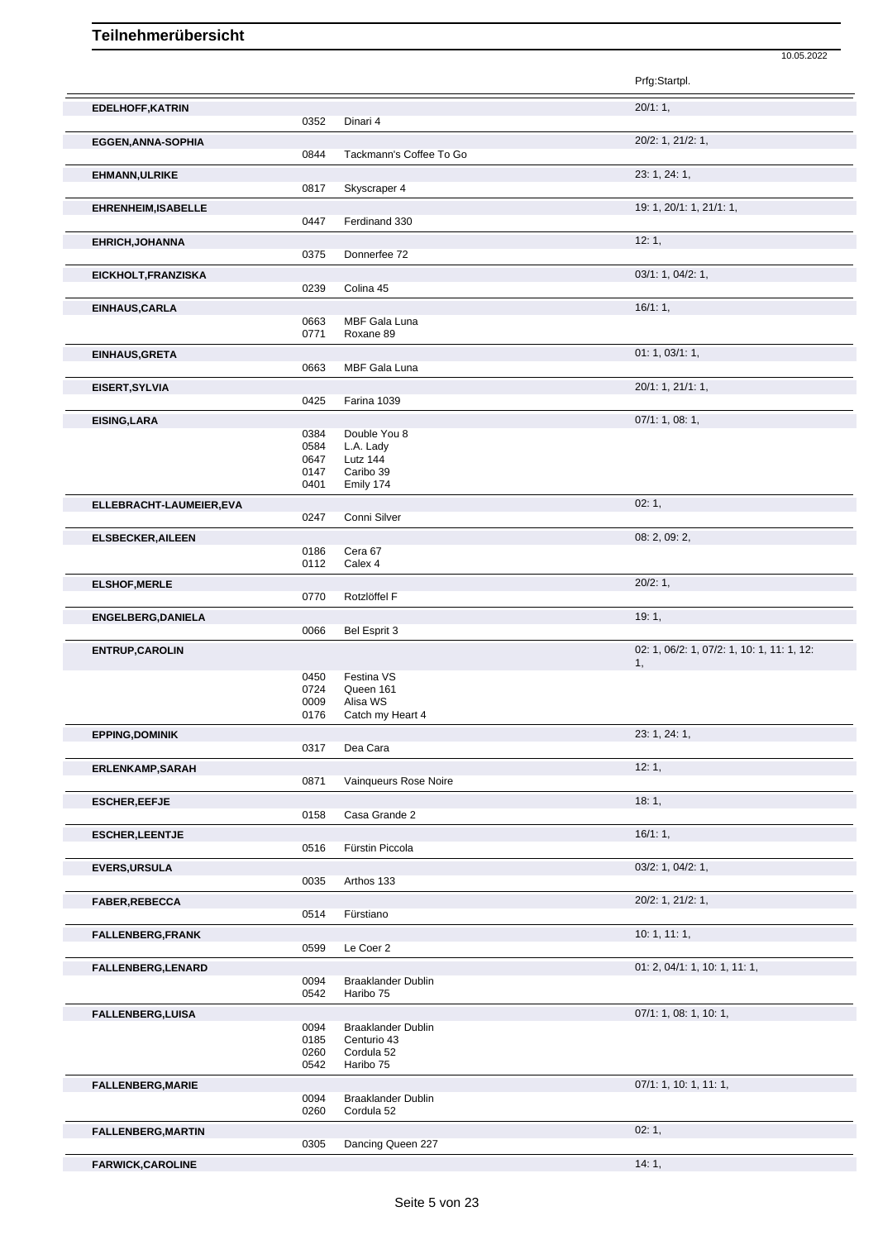|                            |              |                                         | Prfg:Startpl.                                    |
|----------------------------|--------------|-----------------------------------------|--------------------------------------------------|
| <b>EDELHOFF, KATRIN</b>    |              |                                         | 20/1:1,                                          |
|                            | 0352         | Dinari 4                                |                                                  |
| <b>EGGEN, ANNA-SOPHIA</b>  |              |                                         | 20/2: 1, 21/2: 1,                                |
|                            | 0844         | Tackmann's Coffee To Go                 |                                                  |
| <b>EHMANN, ULRIKE</b>      |              |                                         | 23: 1, 24: 1,                                    |
|                            | 0817         | Skyscraper 4                            |                                                  |
|                            |              |                                         |                                                  |
| <b>EHRENHEIM, ISABELLE</b> | 0447         | Ferdinand 330                           | 19: 1, 20/1: 1, 21/1: 1,                         |
|                            |              |                                         |                                                  |
| <b>EHRICH, JOHANNA</b>     |              |                                         | 12:1,                                            |
|                            | 0375         | Donnerfee 72                            |                                                  |
| EICKHOLT, FRANZISKA        |              |                                         | 03/1: 1, 04/2: 1,                                |
|                            | 0239         | Colina 45                               |                                                  |
| EINHAUS, CARLA             |              |                                         | 16/1:1,                                          |
|                            | 0663         | MBF Gala Luna                           |                                                  |
|                            | 0771         | Roxane 89                               |                                                  |
| EINHAUS, GRETA             |              |                                         | 01: 1, 03/1: 1,                                  |
|                            | 0663         | MBF Gala Luna                           |                                                  |
| EISERT, SYLVIA             |              |                                         | 20/1: 1, 21/1: 1,                                |
|                            | 0425         | Farina 1039                             |                                                  |
|                            |              |                                         |                                                  |
| <b>EISING, LARA</b>        | 0384         | Double You 8                            | 07/1: 1, 08: 1,                                  |
|                            | 0584         | L.A. Lady                               |                                                  |
|                            | 0647         | Lutz 144                                |                                                  |
|                            | 0147         | Caribo 39                               |                                                  |
|                            | 0401         | Emily 174                               |                                                  |
| ELLEBRACHT-LAUMEIER, EVA   |              |                                         | 02:1,                                            |
|                            | 0247         | Conni Silver                            |                                                  |
| <b>ELSBECKER, AILEEN</b>   |              |                                         | 08: 2, 09: 2,                                    |
|                            | 0186         | Cera 67                                 |                                                  |
|                            | 0112         | Calex 4                                 |                                                  |
|                            |              |                                         | 20/2:1,                                          |
| <b>ELSHOF, MERLE</b>       | 0770         | Rotzlöffel F                            |                                                  |
|                            |              |                                         |                                                  |
| <b>ENGELBERG, DANIELA</b>  |              |                                         | 19:1,                                            |
|                            | 0066         | Bel Esprit 3                            |                                                  |
| <b>ENTRUP, CAROLIN</b>     |              |                                         | 02: 1, 06/2: 1, 07/2: 1, 10: 1, 11: 1, 12:<br>1, |
|                            | 0450         | Festina VS                              |                                                  |
|                            | 0724         | Queen 161                               |                                                  |
|                            | 0009         | Alisa WS                                |                                                  |
|                            | 0176         | Catch my Heart 4                        |                                                  |
| <b>EPPING, DOMINIK</b>     |              |                                         | 23: 1, 24: 1,                                    |
|                            | 0317         | Dea Cara                                |                                                  |
| <b>ERLENKAMP,SARAH</b>     |              |                                         | 12:1,                                            |
|                            | 0871         | Vainqueurs Rose Noire                   |                                                  |
| <b>ESCHER, EEFJE</b>       |              |                                         | 18:1,                                            |
|                            | 0158         | Casa Grande 2                           |                                                  |
|                            |              |                                         |                                                  |
| <b>ESCHER, LEENTJE</b>     |              |                                         | 16/1:1,                                          |
|                            | 0516         | Fürstin Piccola                         |                                                  |
| <b>EVERS, URSULA</b>       |              |                                         | 03/2: 1, 04/2: 1,                                |
|                            | 0035         | Arthos 133                              |                                                  |
| FABER, REBECCA             |              |                                         | 20/2: 1, 21/2: 1,                                |
|                            | 0514         | Fürstiano                               |                                                  |
| <b>FALLENBERG, FRANK</b>   |              |                                         | 10: 1, 11: 1,                                    |
|                            | 0599         | Le Coer 2                               |                                                  |
| FALLENBERG, LENARD         |              |                                         | 01: 2, 04/1: 1, 10: 1, 11: 1,                    |
|                            | 0094         | <b>Braaklander Dublin</b>               |                                                  |
|                            | 0542         | Haribo 75                               |                                                  |
|                            |              |                                         |                                                  |
|                            |              |                                         |                                                  |
| <b>FALLENBERG, LUISA</b>   |              |                                         | 07/1: 1, 08: 1, 10: 1,                           |
|                            | 0094         | <b>Braaklander Dublin</b>               |                                                  |
|                            | 0185<br>0260 | Centurio 43<br>Cordula 52               |                                                  |
|                            | 0542         | Haribo 75                               |                                                  |
|                            |              |                                         |                                                  |
| <b>FALLENBERG, MARIE</b>   |              |                                         | 07/1: 1, 10: 1, 11: 1,                           |
|                            | 0094<br>0260 | <b>Braaklander Dublin</b><br>Cordula 52 |                                                  |
|                            |              |                                         |                                                  |
| <b>FALLENBERG, MARTIN</b>  | 0305         | Dancing Queen 227                       | 02:1,                                            |

10.05.2022

**FARWICK, CAROLINE** 14: 1,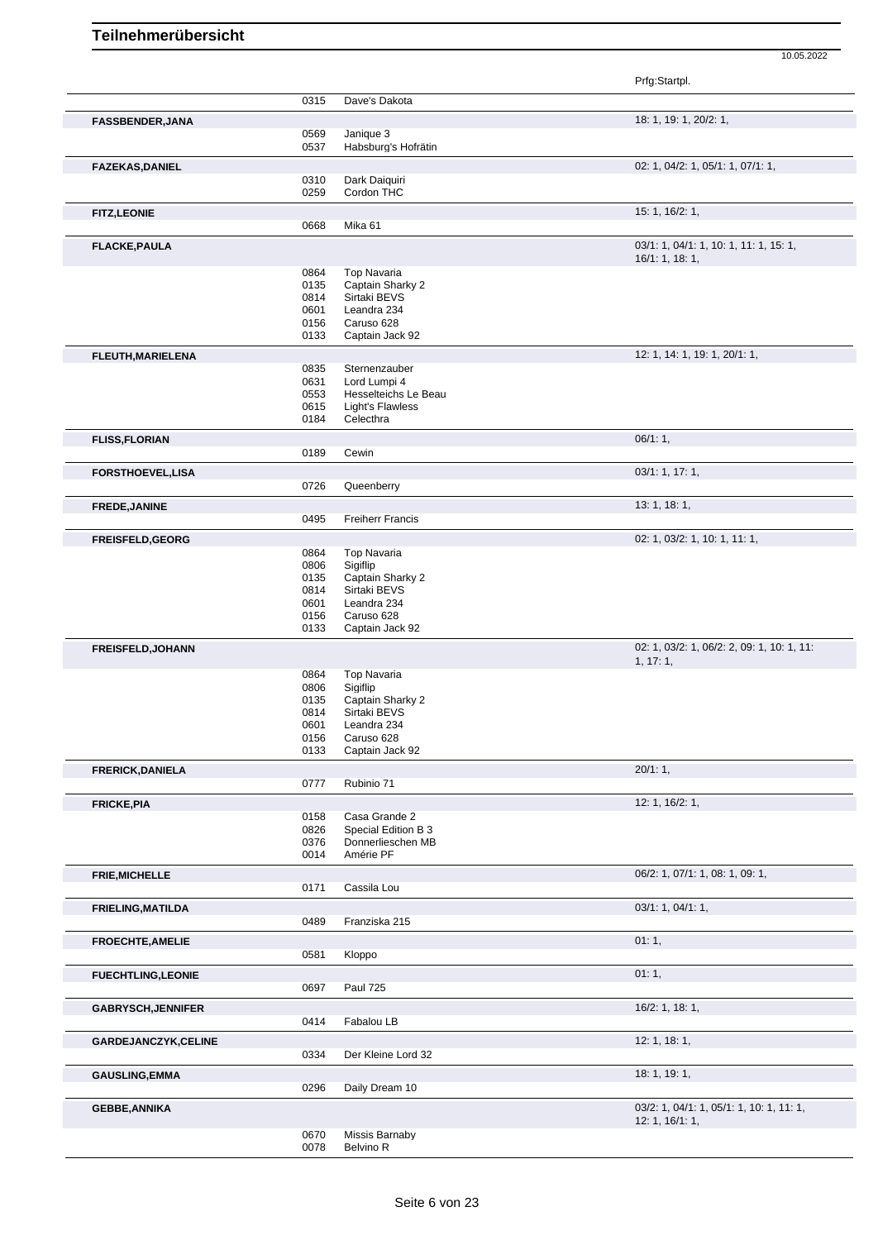|                           |              |                                          | Prfg:Startpl.                                             |
|---------------------------|--------------|------------------------------------------|-----------------------------------------------------------|
|                           | 0315         | Dave's Dakota                            |                                                           |
| <b>FASSBENDER, JANA</b>   |              |                                          | 18: 1, 19: 1, 20/2: 1,                                    |
|                           | 0569         | Janique 3                                |                                                           |
|                           | 0537         | Habsburg's Hofrätin                      |                                                           |
| <b>FAZEKAS, DANIEL</b>    | 0310         | Dark Daiquiri                            | 02: 1, 04/2: 1, 05/1: 1, 07/1: 1,                         |
|                           | 0259         | Cordon THC                               |                                                           |
| <b>FITZ,LEONIE</b>        |              |                                          | 15: 1, 16/2: 1,                                           |
|                           | 0668         | Mika 61                                  |                                                           |
| <b>FLACKE, PAULA</b>      |              |                                          | 03/1: 1, 04/1: 1, 10: 1, 11: 1, 15: 1,<br>16/1: 1, 18: 1, |
|                           | 0864         | <b>Top Navaria</b>                       |                                                           |
|                           | 0135<br>0814 | Captain Sharky 2<br>Sirtaki BEVS         |                                                           |
|                           | 0601         | Leandra 234                              |                                                           |
|                           | 0156         | Caruso 628                               |                                                           |
|                           | 0133         | Captain Jack 92                          |                                                           |
| FLEUTH, MARIELENA         |              |                                          | 12: 1, 14: 1, 19: 1, 20/1: 1,                             |
|                           | 0835         | Sternenzauber                            |                                                           |
|                           | 0631         | Lord Lumpi 4                             |                                                           |
|                           | 0553<br>0615 | Hesselteichs Le Beau<br>Light's Flawless |                                                           |
|                           | 0184         | Celecthra                                |                                                           |
| <b>FLISS, FLORIAN</b>     |              |                                          | 06/1:1,                                                   |
|                           | 0189         | Cewin                                    |                                                           |
| <b>FORSTHOEVEL,LISA</b>   |              |                                          | 03/1: 1, 17: 1,                                           |
|                           | 0726         | Queenberry                               |                                                           |
| <b>FREDE, JANINE</b>      |              |                                          | 13:1, 18:1,                                               |
|                           | 0495         | <b>Freiherr Francis</b>                  |                                                           |
| <b>FREISFELD, GEORG</b>   |              |                                          | 02: 1, 03/2: 1, 10: 1, 11: 1,                             |
|                           | 0864         | <b>Top Navaria</b>                       |                                                           |
|                           | 0806         | Sigiflip                                 |                                                           |
|                           | 0135<br>0814 | Captain Sharky 2<br>Sirtaki BEVS         |                                                           |
|                           | 0601         | Leandra 234                              |                                                           |
|                           | 0156         | Caruso 628                               |                                                           |
|                           | 0133         | Captain Jack 92                          |                                                           |
| FREISFELD, JOHANN         |              |                                          | 02: 1, 03/2: 1, 06/2: 2, 09: 1, 10: 1, 11:<br>1, 17:1,    |
|                           | 0864         | Top Navaria                              |                                                           |
|                           | 0806         | Sigiflip                                 |                                                           |
|                           | 0135<br>0814 | Captain Sharky 2<br>Sirtaki BEVS         |                                                           |
|                           | 0601         | Leandra 234                              |                                                           |
|                           | 0156         | Caruso 628                               |                                                           |
|                           | 0133         | Captain Jack 92                          |                                                           |
| <b>FRERICK, DANIELA</b>   |              |                                          | 20/1:1,                                                   |
|                           | 0777         | Rubinio 71                               |                                                           |
| <b>FRICKE, PIA</b>        |              |                                          | 12: 1, 16/2: 1,                                           |
|                           | 0158         | Casa Grande 2                            |                                                           |
|                           | 0826<br>0376 | Special Edition B 3<br>Donnerlieschen MB |                                                           |
|                           | 0014         | Amérie PF                                |                                                           |
| <b>FRIE, MICHELLE</b>     |              |                                          | 06/2: 1, 07/1: 1, 08: 1, 09: 1,                           |
|                           | 0171         | Cassila Lou                              |                                                           |
| <b>FRIELING, MATILDA</b>  |              |                                          | 03/1: 1, 04/1: 1,                                         |
|                           | 0489         | Franziska 215                            |                                                           |
| <b>FROECHTE, AMELIE</b>   |              |                                          | 01:1,                                                     |
|                           | 0581         | Kloppo                                   |                                                           |
| <b>FUECHTLING,LEONIE</b>  |              |                                          | 01:1,                                                     |
|                           | 0697         | <b>Paul 725</b>                          |                                                           |
| <b>GABRYSCH, JENNIFER</b> |              |                                          | 16/2: 1, 18: 1,                                           |
|                           | 0414         | Fabalou LB                               |                                                           |
| GARDEJANCZYK,CELINE       |              |                                          | 12: 1, 18: 1,                                             |
|                           | 0334         | Der Kleine Lord 32                       |                                                           |
| <b>GAUSLING, EMMA</b>     |              |                                          | 18:1, 19:1,                                               |
|                           | 0296         | Daily Dream 10                           |                                                           |
| <b>GEBBE, ANNIKA</b>      |              |                                          | 03/2: 1, 04/1: 1, 05/1: 1, 10: 1, 11: 1,                  |
|                           |              |                                          | 12: 1, 16/1: 1,                                           |
|                           | 0670<br>0078 | Missis Barnaby<br>Belvino R              |                                                           |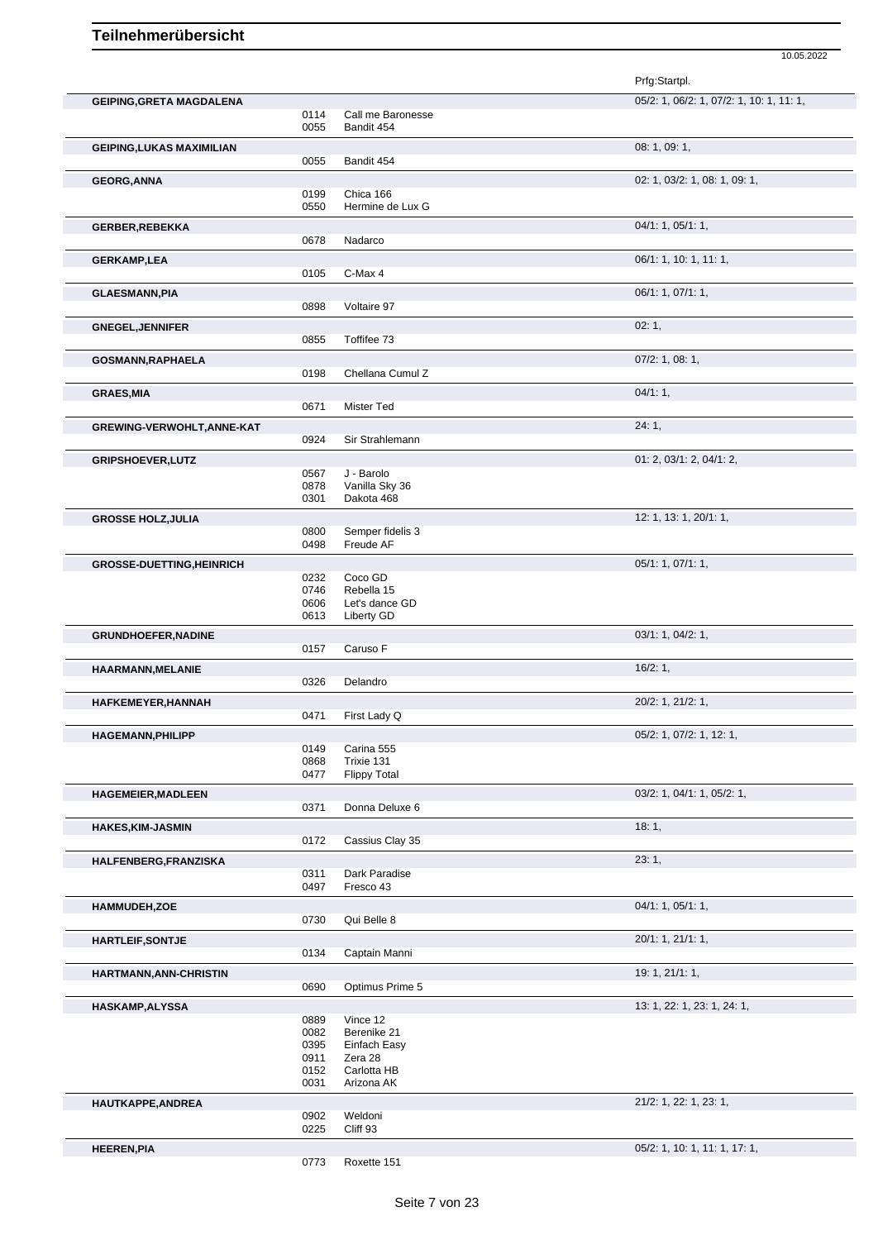|                                  |              |                                 | Prfg:Startpl.                            |
|----------------------------------|--------------|---------------------------------|------------------------------------------|
| <b>GEIPING, GRETA MAGDALENA</b>  |              |                                 | 05/2: 1, 06/2: 1, 07/2: 1, 10: 1, 11: 1, |
|                                  | 0114<br>0055 | Call me Baronesse<br>Bandit 454 |                                          |
| <b>GEIPING, LUKAS MAXIMILIAN</b> |              |                                 | 08: 1, 09: 1,                            |
|                                  | 0055         | Bandit 454                      |                                          |
| <b>GEORG, ANNA</b>               |              |                                 | 02: 1, 03/2: 1, 08: 1, 09: 1,            |
|                                  | 0199         | Chica 166                       |                                          |
|                                  | 0550         | Hermine de Lux G                |                                          |
| <b>GERBER, REBEKKA</b>           | 0678         | Nadarco                         | 04/1: 1, 05/1: 1,                        |
|                                  |              |                                 |                                          |
| <b>GERKAMP,LEA</b>               | 0105         | C-Max 4                         | 06/1: 1, 10: 1, 11: 1,                   |
| <b>GLAESMANN, PIA</b>            |              |                                 | 06/1: 1, 07/1: 1,                        |
|                                  | 0898         | Voltaire 97                     |                                          |
| <b>GNEGEL, JENNIFER</b>          |              |                                 | 02:1,                                    |
|                                  | 0855         | Toffifee 73                     |                                          |
| GOSMANN, RAPHAELA                |              |                                 | 07/2: 1, 08: 1,                          |
|                                  | 0198         | Chellana Cumul Z                |                                          |
| <b>GRAES, MIA</b>                |              |                                 | 04/1:1,                                  |
|                                  | 0671         | Mister Ted                      |                                          |
| GREWING-VERWOHLT, ANNE-KAT       |              |                                 | 24:1,                                    |
|                                  | 0924         | Sir Strahlemann                 |                                          |
| <b>GRIPSHOEVER, LUTZ</b>         |              |                                 | 01: 2, 03/1: 2, 04/1: 2,                 |
|                                  | 0567<br>0878 | J - Barolo<br>Vanilla Sky 36    |                                          |
|                                  | 0301         | Dakota 468                      |                                          |
| <b>GROSSE HOLZ, JULIA</b>        |              |                                 | 12: 1, 13: 1, 20/1: 1,                   |
|                                  | 0800         | Semper fidelis 3                |                                          |
|                                  | 0498         | Freude AF                       |                                          |
| <b>GROSSE-DUETTING, HEINRICH</b> |              |                                 | 05/1: 1, 07/1: 1,                        |
|                                  | 0232<br>0746 | Coco GD<br>Rebella 15           |                                          |
|                                  | 0606         | Let's dance GD                  |                                          |
|                                  | 0613         | Liberty GD                      |                                          |
| <b>GRUNDHOEFER, NADINE</b>       |              |                                 | 03/1: 1, 04/2: 1,                        |
|                                  | 0157         | Caruso F                        |                                          |
| <b>HAARMANN, MELANIE</b>         |              |                                 | 16/2:1,                                  |
|                                  | 0326         | Delandro                        |                                          |
| HAFKEMEYER, HANNAH               | 0471         | First Lady Q                    | 20/2: 1, 21/2: 1,                        |
| <b>HAGEMANN, PHILIPP</b>         |              |                                 | 05/2: 1, 07/2: 1, 12: 1,                 |
|                                  | 0149         | Carina 555                      |                                          |
|                                  | 0868         | Trixie 131                      |                                          |
|                                  | 0477         | <b>Flippy Total</b>             |                                          |
| <b>HAGEMEIER, MADLEEN</b>        | 0371         |                                 | 03/2: 1, 04/1: 1, 05/2: 1,               |
|                                  |              | Donna Deluxe 6                  |                                          |
| <b>HAKES, KIM-JASMIN</b>         | 0172         | Cassius Clay 35                 | 18:1,                                    |
|                                  |              |                                 | 23:1,                                    |
| HALFENBERG, FRANZISKA            | 0311         | Dark Paradise                   |                                          |
|                                  | 0497         | Fresco 43                       |                                          |
| <b>HAMMUDEH,ZOE</b>              |              |                                 | 04/1: 1, 05/1: 1,                        |
|                                  | 0730         | Qui Belle 8                     |                                          |
| <b>HARTLEIF, SONTJE</b>          |              |                                 | 20/1: 1, 21/1: 1,                        |
|                                  | 0134         | Captain Manni                   |                                          |
| HARTMANN, ANN-CHRISTIN           |              |                                 | 19: 1, 21/1: 1,                          |
|                                  | 0690         | Optimus Prime 5                 |                                          |
| HASKAMP, ALYSSA                  |              |                                 | 13: 1, 22: 1, 23: 1, 24: 1,              |
|                                  | 0889<br>0082 | Vince 12<br>Berenike 21         |                                          |
|                                  | 0395         | Einfach Easy                    |                                          |
|                                  | 0911         | Zera 28                         |                                          |
|                                  | 0152         | Carlotta HB                     |                                          |
|                                  | 0031         | Arizona AK                      |                                          |
| HAUTKAPPE, ANDREA                | 0902         | Weldoni                         | 21/2: 1, 22: 1, 23: 1,                   |
|                                  | 0225         | Cliff 93                        |                                          |
| <b>HEEREN, PIA</b>               |              |                                 | 05/2: 1, 10: 1, 11: 1, 17: 1,            |
|                                  | 0773         | Roxette 151                     |                                          |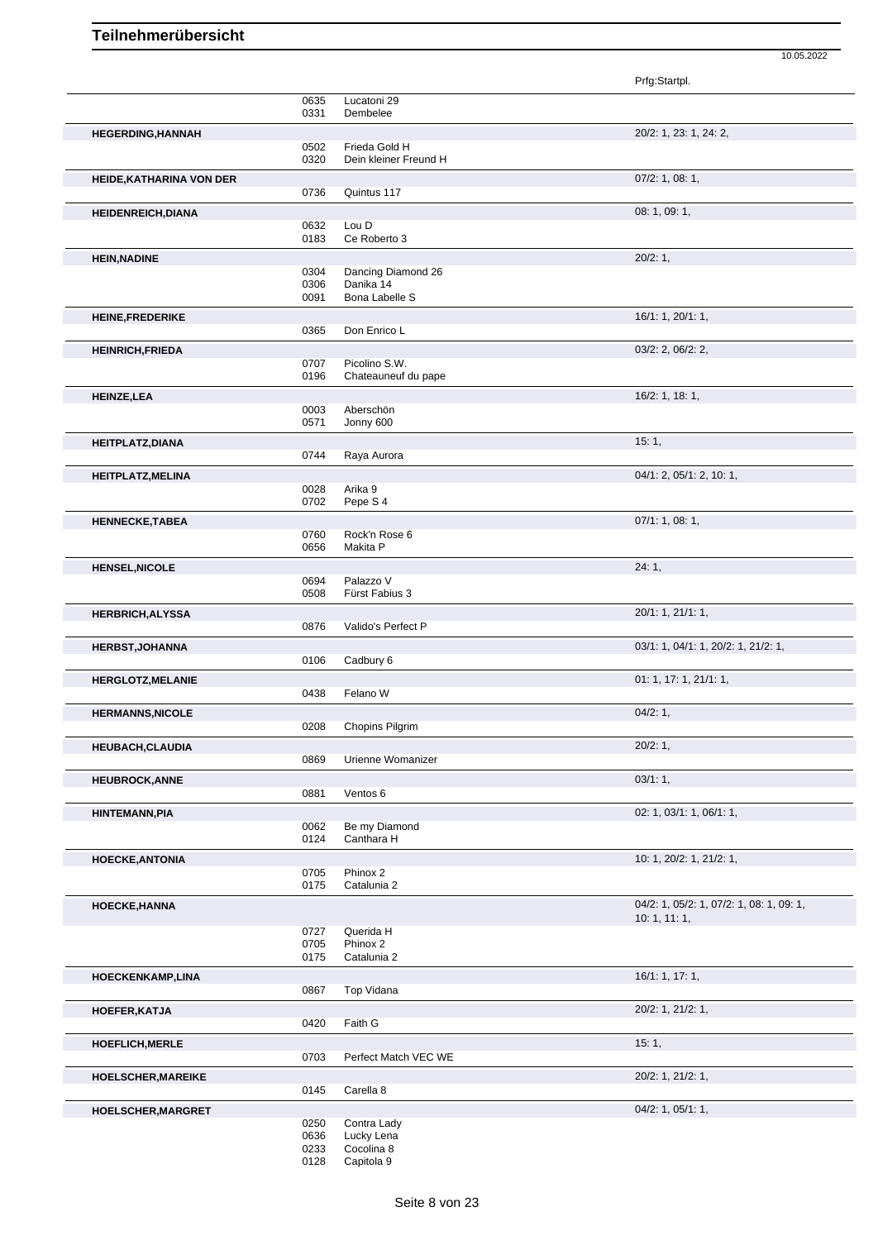|                                 |              |                                      | Prfg:Startpl.                            |
|---------------------------------|--------------|--------------------------------------|------------------------------------------|
|                                 | 0635         | Lucatoni 29                          |                                          |
|                                 | 0331         | Dembelee                             |                                          |
| <b>HEGERDING, HANNAH</b>        |              |                                      | 20/2: 1, 23: 1, 24: 2,                   |
|                                 | 0502         | Frieda Gold H                        |                                          |
|                                 | 0320         | Dein kleiner Freund H                |                                          |
| <b>HEIDE, KATHARINA VON DER</b> | 0736         | Quintus 117                          | $07/2$ : 1, 08: 1,                       |
|                                 |              |                                      |                                          |
| <b>HEIDENREICH, DIANA</b>       | 0632         | Lou D                                | 08:1,09:1,                               |
|                                 | 0183         | Ce Roberto 3                         |                                          |
| <b>HEIN, NADINE</b>             |              |                                      | 20/2:1,                                  |
|                                 | 0304         | Dancing Diamond 26                   |                                          |
|                                 | 0306         | Danika 14                            |                                          |
|                                 | 0091         | <b>Bona Labelle S</b>                |                                          |
| HEINE, FREDERIKE                |              |                                      | 16/1: 1, 20/1: 1,                        |
|                                 | 0365         | Don Enrico L                         |                                          |
| <b>HEINRICH, FRIEDA</b>         |              |                                      | 03/2: 2, 06/2: 2,                        |
|                                 | 0707<br>0196 | Picolino S.W.<br>Chateauneuf du pape |                                          |
|                                 |              |                                      |                                          |
| <b>HEINZE,LEA</b>               | 0003         | Aberschön                            | 16/2: 1, 18: 1,                          |
|                                 | 0571         | Jonny 600                            |                                          |
| <b>HEITPLATZ, DIANA</b>         |              |                                      | 15:1,                                    |
|                                 | 0744         | Raya Aurora                          |                                          |
| <b>HEITPLATZ, MELINA</b>        |              |                                      | 04/1: 2, 05/1: 2, 10: 1,                 |
|                                 | 0028         | Arika 9                              |                                          |
|                                 | 0702         | Pepe S 4                             |                                          |
| <b>HENNECKE, TABEA</b>          |              |                                      | 07/1: 1, 08: 1,                          |
|                                 | 0760<br>0656 | Rock'n Rose 6<br>Makita P            |                                          |
|                                 |              |                                      |                                          |
| <b>HENSEL, NICOLE</b>           | 0694         | Palazzo V                            | 24:1,                                    |
|                                 | 0508         | Fürst Fabius 3                       |                                          |
| <b>HERBRICH, ALYSSA</b>         |              |                                      | 20/1: 1, 21/1: 1,                        |
|                                 | 0876         | Valido's Perfect P                   |                                          |
| <b>HERBST, JOHANNA</b>          |              |                                      | 03/1: 1, 04/1: 1, 20/2: 1, 21/2: 1,      |
|                                 | 0106         | Cadbury 6                            |                                          |
| <b>HERGLOTZ, MELANIE</b>        |              |                                      | 01: 1, 17: 1, 21/1: 1,                   |
|                                 | 0438         | Felano W                             |                                          |
| <b>HERMANNS, NICOLE</b>         |              |                                      | 04/2:1,                                  |
|                                 | 0208         | Chopins Pilgrim                      |                                          |
| <b>HEUBACH, CLAUDIA</b>         |              |                                      | 20/2:1,                                  |
|                                 | 0869         | Urienne Womanizer                    |                                          |
| <b>HEUBROCK, ANNE</b>           |              |                                      | 03/1:1,                                  |
|                                 | 0881         | Ventos 6                             |                                          |
| <b>HINTEMANN, PIA</b>           |              |                                      | 02: 1, 03/1: 1, 06/1: 1,                 |
|                                 | 0062<br>0124 | Be my Diamond<br>Canthara H          |                                          |
|                                 |              |                                      |                                          |
| <b>HOECKE, ANTONIA</b>          | 0705         | Phinox 2                             | 10: 1, 20/2: 1, 21/2: 1,                 |
|                                 | 0175         | Catalunia 2                          |                                          |
| HOECKE, HANNA                   |              |                                      | 04/2: 1, 05/2: 1, 07/2: 1, 08: 1, 09: 1, |
|                                 |              |                                      | 10: 1, 11: 1,                            |
|                                 | 0727         | Querida H                            |                                          |
|                                 | 0705<br>0175 | Phinox 2<br>Catalunia 2              |                                          |
|                                 |              |                                      |                                          |
| HOECKENKAMP, LINA               | 0867         | Top Vidana                           | 16/1: 1, 17: 1,                          |
|                                 |              |                                      |                                          |
| HOEFER, KATJA                   | 0420         | Faith G                              | 20/2: 1, 21/2: 1,                        |
|                                 |              |                                      |                                          |
| HOEFLICH, MERLE                 | 0703         | Perfect Match VEC WE                 | 15:1,                                    |
|                                 |              |                                      | 20/2: 1, 21/2: 1,                        |
| HOELSCHER, MAREIKE              | 0145         | Carella 8                            |                                          |
|                                 |              |                                      |                                          |
|                                 |              |                                      |                                          |
|                                 | 0250         | Contra Lady                          | 04/2: 1, 05/1: 1,                        |
|                                 | 0636         | Lucky Lena                           |                                          |
| HOELSCHER, MARGRET              | 0233<br>0128 | Cocolina 8<br>Capitola 9             |                                          |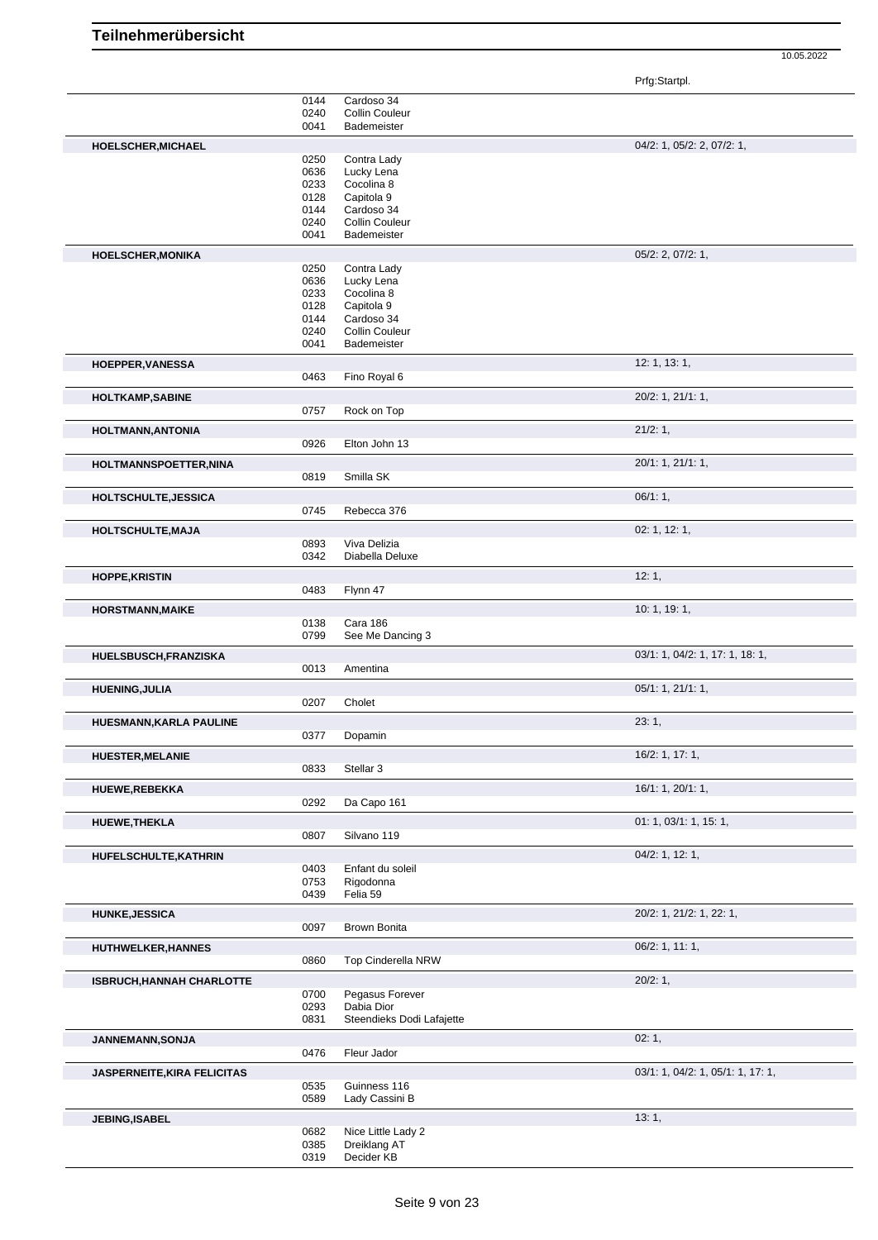Prfg:Startpl.

|                                    | 0144         | Cardoso 34                |                                   |
|------------------------------------|--------------|---------------------------|-----------------------------------|
|                                    | 0240         | Collin Couleur            |                                   |
|                                    | 0041         | Bademeister               |                                   |
|                                    |              |                           |                                   |
| HOELSCHER, MICHAEL                 |              |                           | 04/2: 1, 05/2: 2, 07/2: 1,        |
|                                    | 0250         | Contra Lady               |                                   |
|                                    | 0636         | Lucky Lena                |                                   |
|                                    |              |                           |                                   |
|                                    | 0233         | Cocolina 8                |                                   |
|                                    | 0128         | Capitola 9                |                                   |
|                                    | 0144         | Cardoso 34                |                                   |
|                                    | 0240         | Collin Couleur            |                                   |
|                                    | 0041         | Bademeister               |                                   |
| <b>HOELSCHER, MONIKA</b>           |              |                           | 05/2: 2, 07/2: 1,                 |
|                                    |              |                           |                                   |
|                                    | 0250         | Contra Lady               |                                   |
|                                    | 0636         | Lucky Lena                |                                   |
|                                    | 0233         | Cocolina 8                |                                   |
|                                    | 0128         | Capitola 9                |                                   |
|                                    | 0144         | Cardoso 34                |                                   |
|                                    | 0240         | <b>Collin Couleur</b>     |                                   |
|                                    | 0041         | Bademeister               |                                   |
|                                    |              |                           |                                   |
| HOEPPER, VANESSA                   |              |                           | 12: 1, 13: 1,                     |
|                                    | 0463         | Fino Royal 6              |                                   |
| <b>HOLTKAMP,SABINE</b>             |              |                           | 20/2: 1, 21/1: 1,                 |
|                                    | 0757         | Rock on Top               |                                   |
|                                    |              |                           |                                   |
| HOLTMANN, ANTONIA                  |              |                           | 21/2:1,                           |
|                                    | 0926         | Elton John 13             |                                   |
|                                    |              |                           |                                   |
| HOLTMANNSPOETTER, NINA             |              |                           | 20/1: 1, 21/1: 1,                 |
|                                    | 0819         | Smilla SK                 |                                   |
|                                    |              |                           | $06/1:1$ ,                        |
| HOLTSCHULTE, JESSICA               |              |                           |                                   |
|                                    | 0745         | Rebecca 376               |                                   |
| HOLTSCHULTE, MAJA                  |              |                           | 02: 1, 12: 1,                     |
|                                    |              | Viva Delizia              |                                   |
|                                    | 0893<br>0342 | Diabella Deluxe           |                                   |
|                                    |              |                           |                                   |
| <b>HOPPE, KRISTIN</b>              |              |                           | 12:1,                             |
|                                    | 0483         | Flynn 47                  |                                   |
|                                    |              |                           |                                   |
| <b>HORSTMANN, MAIKE</b>            |              |                           | 10: 1, 19: 1,                     |
|                                    | 0138         | Cara 186                  |                                   |
|                                    | 0799         | See Me Dancing 3          |                                   |
|                                    |              |                           |                                   |
| HUELSBUSCH, FRANZISKA              |              |                           | 03/1: 1, 04/2: 1, 17: 1, 18: 1,   |
|                                    | 0013         | Amentina                  |                                   |
| <b>HUENING, JULIA</b>              |              |                           | 05/1: 1, 21/1: 1,                 |
|                                    | 0207         | Cholet                    |                                   |
|                                    |              |                           |                                   |
| HUESMANN, KARLA PAULINE            |              |                           | 23:1,                             |
|                                    | 0377         | Dopamin                   |                                   |
|                                    |              |                           |                                   |
| <b>HUESTER, MELANIE</b>            |              |                           | 16/2: 1, 17: 1,                   |
|                                    | 0833         | Stellar 3                 |                                   |
|                                    |              |                           |                                   |
| <b>HUEWE, REBEKKA</b>              |              |                           | 16/1: 1, 20/1: 1,                 |
|                                    | 0292         | Da Capo 161               |                                   |
| <b>HUEWE, THEKLA</b>               |              |                           | 01: 1, 03/1: 1, 15: 1,            |
|                                    | 0807         | Silvano 119               |                                   |
|                                    |              |                           |                                   |
| HUFELSCHULTE, KATHRIN              |              |                           | 04/2: 1, 12: 1,                   |
|                                    | 0403         | Enfant du soleil          |                                   |
|                                    | 0753         | Rigodonna                 |                                   |
|                                    | 0439         | Felia 59                  |                                   |
|                                    |              |                           |                                   |
| <b>HUNKE, JESSICA</b>              |              |                           | 20/2: 1, 21/2: 1, 22: 1,          |
|                                    | 0097         | Brown Bonita              |                                   |
| <b>HUTHWELKER, HANNES</b>          |              |                           | 06/2: 1, 11: 1,                   |
|                                    |              |                           |                                   |
|                                    | 0860         | <b>Top Cinderella NRW</b> |                                   |
| <b>ISBRUCH, HANNAH CHARLOTTE</b>   |              |                           | 20/2:1,                           |
|                                    | 0700         | Pegasus Forever           |                                   |
|                                    | 0293         | Dabia Dior                |                                   |
|                                    | 0831         | Steendieks Dodi Lafajette |                                   |
|                                    |              |                           |                                   |
| JANNEMANN, SONJA                   |              |                           | 02:1,                             |
|                                    | 0476         | Fleur Jador               |                                   |
|                                    |              |                           |                                   |
| <b>JASPERNEITE, KIRA FELICITAS</b> |              |                           | 03/1: 1, 04/2: 1, 05/1: 1, 17: 1, |
|                                    | 0535         | Guinness 116              |                                   |
|                                    | 0589         | Lady Cassini B            |                                   |
|                                    |              |                           |                                   |
| <b>JEBING, ISABEL</b>              |              |                           | 13:1,                             |
|                                    | 0682         | Nice Little Lady 2        |                                   |
|                                    | 0385         | Dreiklang AT              |                                   |
|                                    |              |                           |                                   |
|                                    | 0319         | Decider KB                |                                   |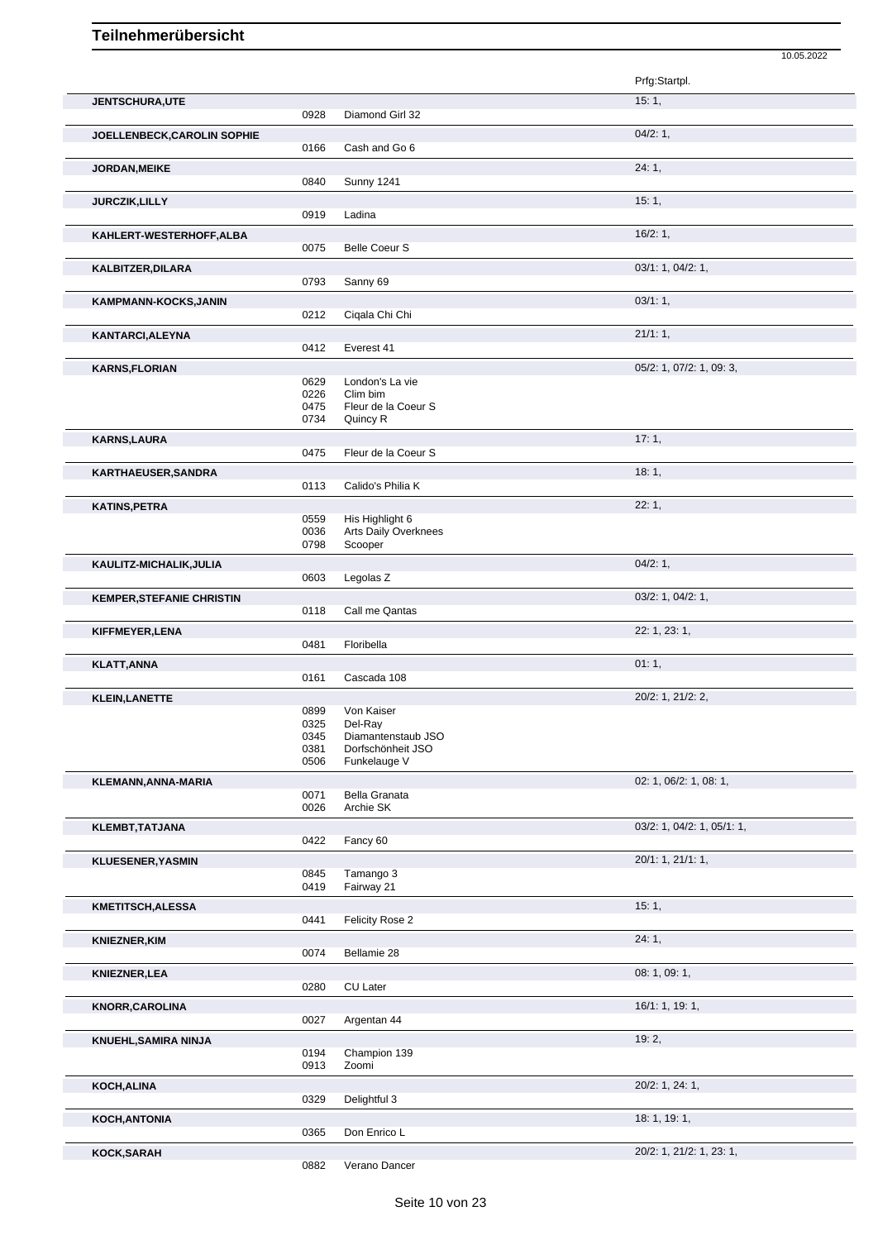| 10.05.2022 |
|------------|
|            |

|                                  |              |                                 | Prfg:Startpl.                       |
|----------------------------------|--------------|---------------------------------|-------------------------------------|
| <b>JENTSCHURA,UTE</b>            |              |                                 | 15:1,                               |
|                                  | 0928         | Diamond Girl 32                 |                                     |
| JOELLENBECK, CAROLIN SOPHIE      |              |                                 | 04/2:1,                             |
|                                  | 0166         | Cash and Go 6                   |                                     |
| JORDAN, MEIKE                    |              |                                 | 24:1,                               |
|                                  | 0840         | <b>Sunny 1241</b>               |                                     |
| <b>JURCZIK, LILLY</b>            |              |                                 | 15:1,                               |
|                                  | 0919         | Ladina                          |                                     |
| KAHLERT-WESTERHOFF, ALBA         |              |                                 | 16/2:1,                             |
|                                  | 0075         | <b>Belle Coeur S</b>            |                                     |
| <b>KALBITZER, DILARA</b>         |              |                                 | 03/1: 1, 04/2: 1,                   |
|                                  | 0793         | Sanny 69                        |                                     |
| KAMPMANN-KOCKS, JANIN            |              |                                 | 03/1:1,                             |
|                                  | 0212         | Ciqala Chi Chi                  |                                     |
| <b>KANTARCI, ALEYNA</b>          |              |                                 | 21/1:1,                             |
|                                  | 0412         | Everest 41                      |                                     |
| <b>KARNS, FLORIAN</b>            |              |                                 | 05/2: 1, 07/2: 1, 09: 3,            |
|                                  | 0629         | London's La vie                 |                                     |
|                                  | 0226         | Clim bim                        |                                     |
|                                  | 0475<br>0734 | Fleur de la Coeur S<br>Quincy R |                                     |
|                                  |              |                                 |                                     |
| <b>KARNS, LAURA</b>              | 0475         | Fleur de la Coeur S             | 17:1,                               |
|                                  |              |                                 |                                     |
| <b>KARTHAEUSER, SANDRA</b>       | 0113         | Calido's Philia K               | 18:1,                               |
|                                  |              |                                 |                                     |
| <b>KATINS, PETRA</b>             | 0559         | His Highlight 6                 | 22:1,                               |
|                                  | 0036         | Arts Daily Overknees            |                                     |
|                                  | 0798         | Scooper                         |                                     |
| KAULITZ-MICHALIK, JULIA          |              |                                 | 04/2:1,                             |
|                                  | 0603         | Legolas <sub>Z</sub>            |                                     |
| <b>KEMPER, STEFANIE CHRISTIN</b> |              |                                 | 03/2: 1, 04/2: 1,                   |
|                                  |              |                                 |                                     |
|                                  | 0118         | Call me Qantas                  |                                     |
|                                  |              |                                 |                                     |
| KIFFMEYER, LENA                  | 0481         | Floribella                      | 22: 1, 23: 1,                       |
|                                  |              |                                 |                                     |
| <b>KLATT, ANNA</b>               | 0161         | Cascada 108                     | 01:1,                               |
|                                  |              |                                 |                                     |
| <b>KLEIN, LANETTE</b>            | 0899         | Von Kaiser                      | 20/2: 1, 21/2: 2,                   |
|                                  | 0325         | Del-Ray                         |                                     |
|                                  | 0345         | Diamantenstaub JSO              |                                     |
|                                  | 0381         | Dorfschönheit JSO               |                                     |
|                                  | 0506         | Funkelauge V                    |                                     |
| KLEMANN, ANNA-MARIA              |              |                                 | 02: 1, 06/2: 1, 08: 1,              |
|                                  | 0071<br>0026 | Bella Granata<br>Archie SK      |                                     |
|                                  |              |                                 |                                     |
| <b>KLEMBT, TATJANA</b>           | 0422         | Fancy 60                        | $03/2$ : 1, $04/2$ : 1, $05/1$ : 1, |
|                                  |              |                                 |                                     |
| <b>KLUESENER, YASMIN</b>         | 0845         | Tamango 3                       | 20/1: 1, 21/1: 1,                   |
|                                  | 0419         | Fairway 21                      |                                     |
| KMETITSCH, ALESSA                |              |                                 | 15:1,                               |
|                                  | 0441         | Felicity Rose 2                 |                                     |
|                                  |              |                                 |                                     |
| <b>KNIEZNER, KIM</b>             | 0074         | Bellamie 28                     | 24:1,                               |
|                                  |              |                                 |                                     |
| <b>KNIEZNER, LEA</b>             | 0280         | CU Later                        | 08: 1, 09: 1,                       |
|                                  |              |                                 |                                     |
| <b>KNORR, CAROLINA</b>           | 0027         |                                 | 16/1: 1, 19: 1,                     |
|                                  |              | Argentan 44                     |                                     |
| <b>KNUEHL, SAMIRA NINJA</b>      |              |                                 | 19:2,                               |
|                                  | 0194<br>0913 | Champion 139<br>Zoomi           |                                     |
|                                  |              |                                 |                                     |
| KOCH, ALINA                      | 0329         | Delightful 3                    | 20/2: 1, 24: 1,                     |
|                                  |              |                                 |                                     |
| KOCH, ANTONIA                    | 0365         | Don Enrico L                    | 18: 1, 19: 1,                       |
| KOCK, SARAH                      |              |                                 | 20/2: 1, 21/2: 1, 23: 1,            |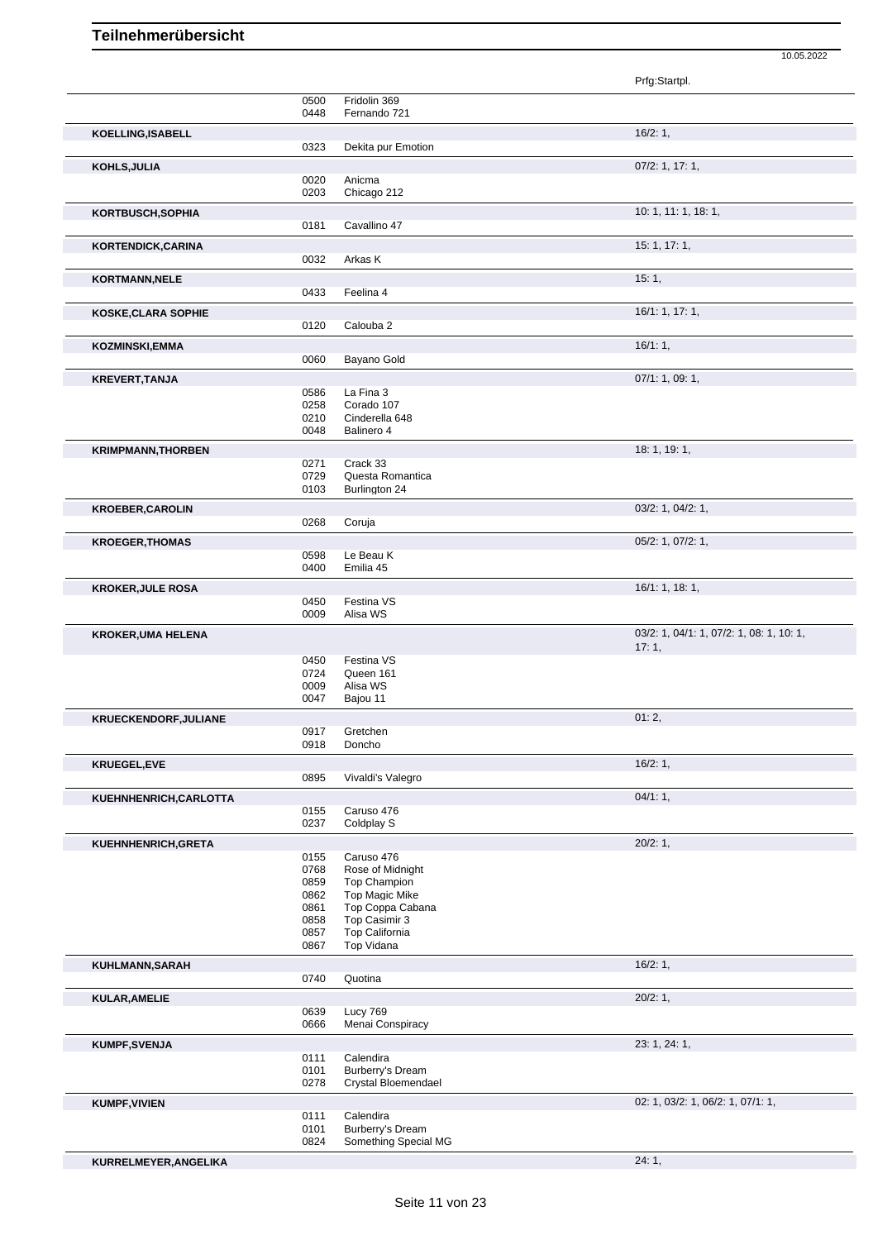|                              |              |                                          | Prfg:Startpl.                            |
|------------------------------|--------------|------------------------------------------|------------------------------------------|
|                              | 0500         | Fridolin 369                             |                                          |
|                              | 0448         | Fernando 721                             |                                          |
| KOELLING, ISABELL            | 0323         | Dekita pur Emotion                       | 16/2:1,                                  |
| KOHLS, JULIA                 |              |                                          | $07/2$ : 1, 17: 1,                       |
|                              | 0020         | Anicma                                   |                                          |
|                              | 0203         | Chicago 212                              |                                          |
| KORTBUSCH, SOPHIA            | 0181         | Cavallino 47                             | 10: 1, 11: 1, 18: 1,                     |
|                              |              |                                          | 15: 1, 17: 1,                            |
| KORTENDICK, CARINA           | 0032         | Arkas K                                  |                                          |
| KORTMANN, NELE               |              |                                          | 15:1,                                    |
|                              | 0433         | Feelina 4                                |                                          |
| KOSKE, CLARA SOPHIE          |              |                                          | 16/1: 1, 17: 1,                          |
|                              | 0120         | Calouba 2                                |                                          |
| <b>KOZMINSKI, EMMA</b>       |              |                                          | 16/1:1,                                  |
|                              | 0060         | Bayano Gold                              |                                          |
| <b>KREVERT, TANJA</b>        |              |                                          | 07/1: 1, 09: 1,                          |
|                              | 0586         | La Fina 3                                |                                          |
|                              | 0258<br>0210 | Corado 107<br>Cinderella 648             |                                          |
|                              | 0048         | Balinero 4                               |                                          |
| <b>KRIMPMANN, THORBEN</b>    |              |                                          | 18: 1, 19: 1,                            |
|                              | 0271         | Crack 33                                 |                                          |
|                              | 0729<br>0103 | Questa Romantica<br>Burlington 24        |                                          |
|                              |              |                                          |                                          |
| <b>KROEBER, CAROLIN</b>      | 0268         | Coruja                                   | 03/2: 1, 04/2: 1,                        |
|                              |              |                                          | 05/2: 1, 07/2: 1,                        |
| <b>KROEGER, THOMAS</b>       | 0598         | Le Beau K                                |                                          |
|                              | 0400         | Emilia 45                                |                                          |
| <b>KROKER, JULE ROSA</b>     |              |                                          | 16/1: 1, 18: 1,                          |
|                              | 0450         | Festina VS<br>Alisa WS                   |                                          |
| <b>KROKER, UMA HELENA</b>    | 0009         |                                          | 03/2: 1, 04/1: 1, 07/2: 1, 08: 1, 10: 1, |
|                              |              |                                          | 17:1,                                    |
|                              | 0450<br>0724 | Festina VS<br>Queen 161                  |                                          |
|                              | 0009         | Alisa WS                                 |                                          |
|                              | 0047         | Bajou 11                                 |                                          |
| <b>KRUECKENDORF, JULIANE</b> |              |                                          | 01:2,                                    |
|                              | 0917         | Gretchen                                 |                                          |
|                              | 0918         | Doncho                                   |                                          |
| KRUEGEL,EVE                  | 0895         | Vivaldi's Valegro                        | 16/2:1,                                  |
| KUEHNHENRICH, CARLOTTA       |              |                                          | 04/1:1,                                  |
|                              | 0155         | Caruso 476                               |                                          |
|                              | 0237         | Coldplay S                               |                                          |
| KUEHNHENRICH, GRETA          |              |                                          | 20/2:1,                                  |
|                              | 0155         | Caruso 476                               |                                          |
|                              | 0768<br>0859 | Rose of Midnight<br><b>Top Champion</b>  |                                          |
|                              | 0862         | Top Magic Mike                           |                                          |
|                              | 0861         | Top Coppa Cabana                         |                                          |
|                              | 0858         | Top Casimir 3                            |                                          |
|                              | 0857<br>0867 | Top California<br>Top Vidana             |                                          |
| KUHLMANN, SARAH              |              |                                          | 16/2:1,                                  |
|                              | 0740         | Quotina                                  |                                          |
| KULAR, AMELIE                |              |                                          | 20/2:1,                                  |
|                              | 0639         | Lucy 769                                 |                                          |
|                              | 0666         | Menai Conspiracy                         |                                          |
| KUMPF, SVENJA                |              |                                          | 23: 1, 24: 1,                            |
|                              | 0111<br>0101 | Calendira<br>Burberry's Dream            |                                          |
|                              | 0278         | Crystal Bloemendael                      |                                          |
| <b>KUMPF, VIVIEN</b>         |              |                                          | 02: 1, 03/2: 1, 06/2: 1, 07/1: 1,        |
|                              | 0111         | Calendira                                |                                          |
|                              | 0101<br>0824 | Burberry's Dream<br>Something Special MG |                                          |
|                              |              |                                          |                                          |
| KURRELMEYER, ANGELIKA        |              |                                          | 24:1,                                    |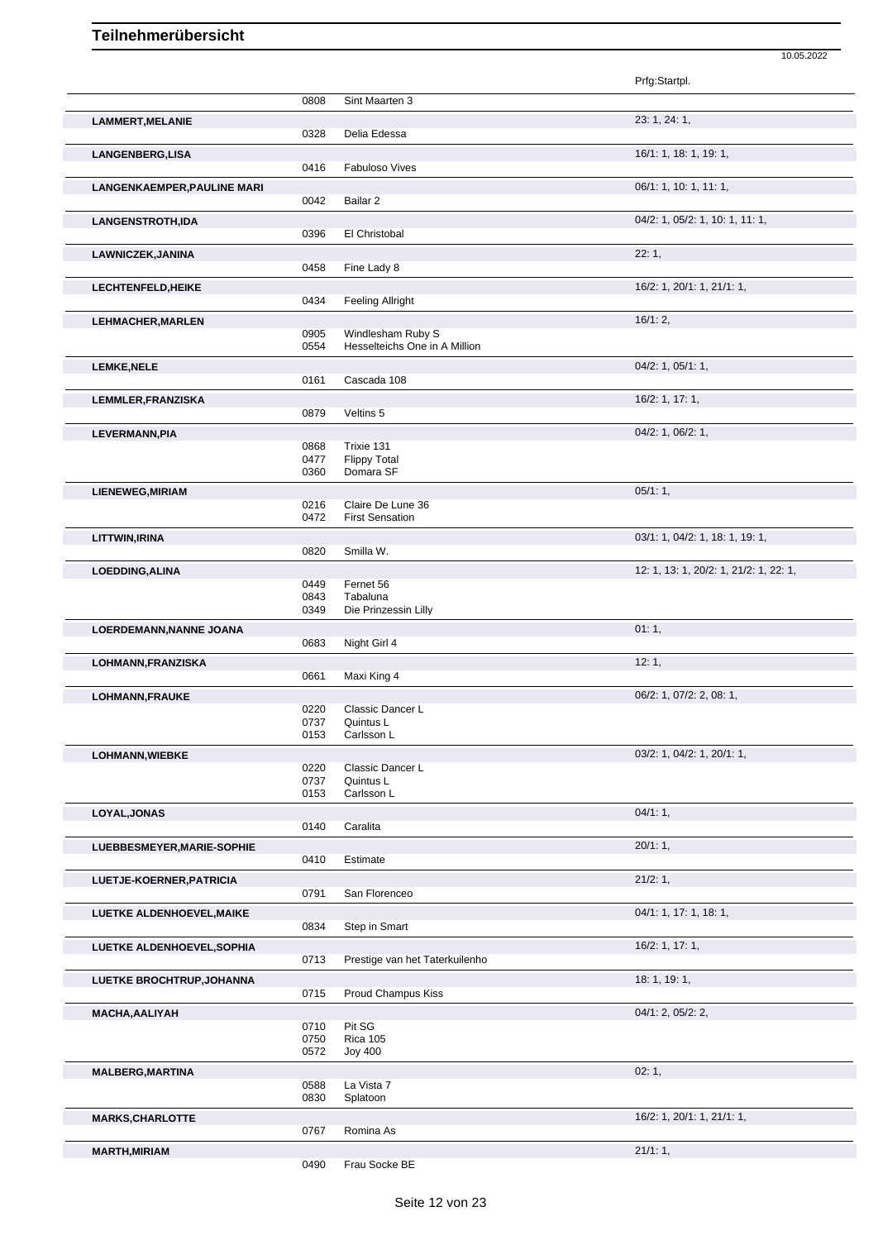|                                    |              |                                   | Prfg:Startpl.                          |
|------------------------------------|--------------|-----------------------------------|----------------------------------------|
|                                    | 0808         | Sint Maarten 3                    |                                        |
| <b>LAMMERT, MELANIE</b>            |              |                                   | 23: 1, 24: 1,                          |
|                                    | 0328         | Delia Edessa                      |                                        |
|                                    |              |                                   | 16/1: 1, 18: 1, 19: 1,                 |
| LANGENBERG, LISA                   | 0416         | <b>Fabuloso Vives</b>             |                                        |
|                                    |              |                                   |                                        |
| <b>LANGENKAEMPER, PAULINE MARI</b> |              |                                   | 06/1: 1, 10: 1, 11: 1,                 |
|                                    | 0042         | Bailar 2                          |                                        |
| <b>LANGENSTROTH,IDA</b>            |              |                                   | 04/2: 1, 05/2: 1, 10: 1, 11: 1,        |
|                                    | 0396         | El Christobal                     |                                        |
| LAWNICZEK, JANINA                  |              |                                   | 22:1,                                  |
|                                    | 0458         | Fine Lady 8                       |                                        |
| LECHTENFELD, HEIKE                 |              |                                   | 16/2: 1, 20/1: 1, 21/1: 1,             |
|                                    | 0434         | <b>Feeling Allright</b>           |                                        |
| <b>LEHMACHER, MARLEN</b>           |              |                                   | 16/1:2,                                |
|                                    | 0905         | Windlesham Ruby S                 |                                        |
|                                    | 0554         | Hesselteichs One in A Million     |                                        |
| <b>LEMKE, NELE</b>                 |              |                                   | $04/2$ : 1, $05/1$ : 1,                |
|                                    | 0161         | Cascada 108                       |                                        |
|                                    |              |                                   | 16/2: 1, 17: 1,                        |
| <b>LEMMLER, FRANZISKA</b>          | 0879         | Veltins 5                         |                                        |
|                                    |              |                                   |                                        |
| LEVERMANN, PIA                     |              |                                   | 04/2: 1, 06/2: 1,                      |
|                                    | 0868<br>0477 | Trixie 131<br><b>Flippy Total</b> |                                        |
|                                    | 0360         | Domara SF                         |                                        |
|                                    |              |                                   |                                        |
| LIENEWEG, MIRIAM                   | 0216         | Claire De Lune 36                 | 05/1:1,                                |
|                                    | 0472         | <b>First Sensation</b>            |                                        |
|                                    |              |                                   |                                        |
| LITTWIN, IRINA                     |              |                                   | 03/1: 1, 04/2: 1, 18: 1, 19: 1,        |
|                                    | 0820         | Smilla W.                         |                                        |
| LOEDDING, ALINA                    |              |                                   | 12: 1, 13: 1, 20/2: 1, 21/2: 1, 22: 1, |
|                                    | 0449         | Fernet 56                         |                                        |
|                                    | 0843<br>0349 | Tabaluna<br>Die Prinzessin Lilly  |                                        |
|                                    |              |                                   |                                        |
| LOERDEMANN, NANNE JOANA            |              |                                   | 01:1,                                  |
|                                    | 0683         | Night Girl 4                      |                                        |
| LOHMANN, FRANZISKA                 |              |                                   | 12:1,                                  |
|                                    | 0661         | Maxi King 4                       |                                        |
| LOHMANN, FRAUKE                    |              |                                   | 06/2: 1, 07/2: 2, 08: 1,               |
|                                    | 0220         | Classic Dancer L                  |                                        |
|                                    | 0737         | Quintus L                         |                                        |
|                                    | 0153         | Carlsson L                        |                                        |
| <b>LOHMANN, WIEBKE</b>             |              |                                   | 03/2: 1, 04/2: 1, 20/1: 1,             |
|                                    | 0220<br>0737 | Classic Dancer L<br>Quintus L     |                                        |
|                                    | 0153         | Carlsson L                        |                                        |
|                                    |              |                                   |                                        |
| LOYAL, JONAS                       | 0140         | Caralita                          | $04/1:1$ ,                             |
|                                    |              |                                   |                                        |
| LUEBBESMEYER, MARIE-SOPHIE         |              |                                   | 20/1:1,                                |
|                                    | 0410         | Estimate                          |                                        |
| LUETJE-KOERNER, PATRICIA           |              |                                   | 21/2:1,                                |
|                                    | 0791         | San Florenceo                     |                                        |
| LUETKE ALDENHOEVEL, MAIKE          |              |                                   | 04/1: 1, 17: 1, 18: 1,                 |
|                                    | 0834         | Step in Smart                     |                                        |
| LUETKE ALDENHOEVEL, SOPHIA         |              |                                   | 16/2: 1, 17: 1,                        |
|                                    | 0713         | Prestige van het Taterkuilenho    |                                        |
|                                    |              |                                   | 18:1, 19:1,                            |
| <b>LUETKE BROCHTRUP, JOHANNA</b>   | 0715         | Proud Champus Kiss                |                                        |
|                                    |              |                                   |                                        |
| <b>MACHA, AALIYAH</b>              |              |                                   | 04/1: 2, 05/2: 2,                      |
|                                    | 0710<br>0750 | Pit SG<br><b>Rica 105</b>         |                                        |
|                                    | 0572         | <b>Joy 400</b>                    |                                        |
|                                    |              |                                   |                                        |
|                                    |              |                                   |                                        |
| <b>MALBERG, MARTINA</b>            |              |                                   | 02:1,                                  |
|                                    | 0588         | La Vista 7                        |                                        |
|                                    | 0830         | Splatoon                          |                                        |
| <b>MARKS, CHARLOTTE</b>            |              |                                   | 16/2: 1, 20/1: 1, 21/1: 1,             |
|                                    | 0767         | Romina As                         |                                        |
| <b>MARTH, MIRIAM</b>               | 0490         | Frau Socke BE                     | 21/1:1,                                |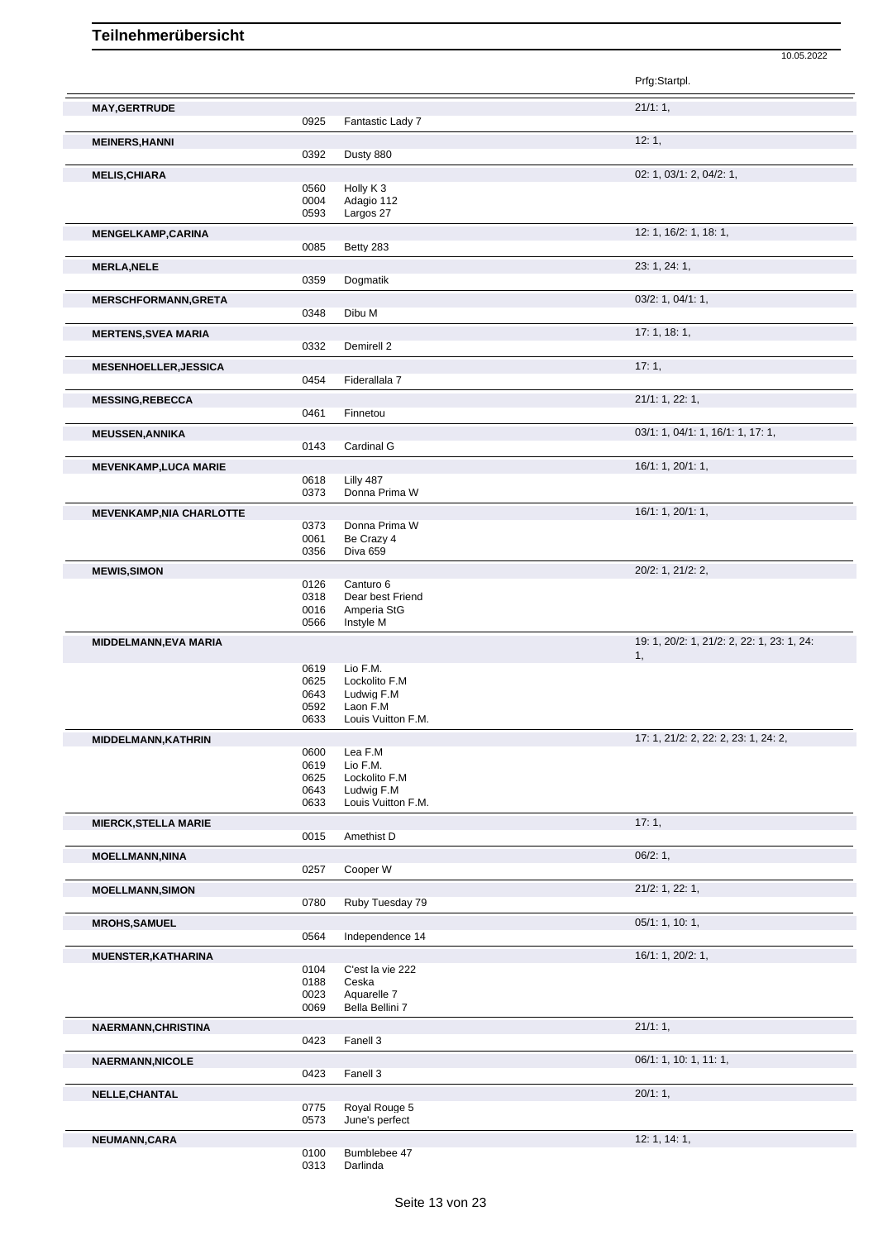|                                 |              |                                | Prfg:Startpl.                              |
|---------------------------------|--------------|--------------------------------|--------------------------------------------|
| <b>MAY, GERTRUDE</b>            |              |                                | 21/1:1,                                    |
|                                 | 0925         | Fantastic Lady 7               |                                            |
| <b>MEINERS, HANNI</b>           |              |                                | 12:1,                                      |
|                                 | 0392         | Dusty 880                      |                                            |
| <b>MELIS, CHIARA</b>            |              |                                | 02: 1, 03/1: 2, 04/2: 1,                   |
|                                 | 0560         | Holly K <sub>3</sub>           |                                            |
|                                 | 0004         | Adagio 112                     |                                            |
|                                 | 0593         | Largos 27                      |                                            |
| <b>MENGELKAMP,CARINA</b>        |              |                                | 12: 1, 16/2: 1, 18: 1,                     |
|                                 | 0085         | Betty 283                      |                                            |
| <b>MERLA, NELE</b>              |              |                                | 23: 1, 24: 1,                              |
|                                 | 0359         | Dogmatik                       |                                            |
|                                 |              |                                |                                            |
| <b>MERSCHFORMANN, GRETA</b>     | 0348         | Dibu M                         | 03/2: 1, 04/1: 1,                          |
|                                 |              |                                |                                            |
| <b>MERTENS, SVEA MARIA</b>      |              |                                | 17:1, 18:1,                                |
|                                 | 0332         | Demirell 2                     |                                            |
| <b>MESENHOELLER, JESSICA</b>    |              |                                | 17:1,                                      |
|                                 | 0454         | Fiderallala 7                  |                                            |
| <b>MESSING, REBECCA</b>         |              |                                | 21/1: 1, 22: 1,                            |
|                                 | 0461         | Finnetou                       |                                            |
| <b>MEUSSEN, ANNIKA</b>          |              |                                | 03/1: 1, 04/1: 1, 16/1: 1, 17: 1,          |
|                                 | 0143         | Cardinal G                     |                                            |
|                                 |              |                                |                                            |
| <b>MEVENKAMP,LUCA MARIE</b>     |              |                                | 16/1: 1, 20/1: 1,                          |
|                                 | 0618<br>0373 | Lilly 487<br>Donna Prima W     |                                            |
|                                 |              |                                |                                            |
| <b>MEVENKAMP, NIA CHARLOTTE</b> |              |                                | 16/1: 1, 20/1: 1,                          |
|                                 | 0373<br>0061 | Donna Prima W<br>Be Crazy 4    |                                            |
|                                 | 0356         | Diva 659                       |                                            |
|                                 |              |                                |                                            |
| <b>MEWIS, SIMON</b>             |              |                                | 20/2: 1, 21/2: 2,                          |
|                                 | 0126<br>0318 | Canturo 6<br>Dear best Friend  |                                            |
|                                 | 0016         | Amperia StG                    |                                            |
|                                 | 0566         | Instyle M                      |                                            |
| MIDDELMANN, EVA MARIA           |              |                                | 19: 1, 20/2: 1, 21/2: 2, 22: 1, 23: 1, 24: |
|                                 |              |                                | 1,                                         |
|                                 | 0619         | Lio F.M.                       |                                            |
|                                 | 0625         | Lockolito F.M                  |                                            |
|                                 | 0643<br>0592 | Ludwig F.M<br>Laon F.M         |                                            |
|                                 | 0633         | Louis Vuitton F.M.             |                                            |
|                                 |              |                                |                                            |
| MIDDELMANN, KATHRIN             | 0600         | Lea F.M                        | 17: 1, 21/2: 2, 22: 2, 23: 1, 24: 2,       |
|                                 | 0619         | Lio F.M.                       |                                            |
|                                 | 0625         | Lockolito F.M                  |                                            |
|                                 | 0643         | Ludwig F.M                     |                                            |
|                                 | 0633         | Louis Vuitton F.M.             |                                            |
| <b>MIERCK, STELLA MARIE</b>     |              |                                | 17:1,                                      |
|                                 | 0015         | Amethist D                     |                                            |
| <b>MOELLMANN, NINA</b>          |              |                                | 06/2:1,                                    |
|                                 | 0257         | Cooper W                       |                                            |
|                                 |              |                                |                                            |
| <b>MOELLMANN, SIMON</b>         | 0780         | Ruby Tuesday 79                | 21/2: 1, 22: 1,                            |
|                                 |              |                                |                                            |
| <b>MROHS,SAMUEL</b>             |              |                                | 05/1: 1, 10: 1,                            |
|                                 | 0564         | Independence 14                |                                            |
| <b>MUENSTER, KATHARINA</b>      |              |                                | 16/1: 1, 20/2: 1,                          |
|                                 | 0104         | C'est la vie 222               |                                            |
|                                 | 0188         | Ceska                          |                                            |
|                                 | 0023<br>0069 | Aquarelle 7<br>Bella Bellini 7 |                                            |
|                                 |              |                                |                                            |
| NAERMANN, CHRISTINA             |              |                                | 21/1:1,                                    |
|                                 | 0423         | Fanell 3                       |                                            |
| <b>NAERMANN, NICOLE</b>         |              |                                | 06/1: 1, 10: 1, 11: 1,                     |
|                                 | 0423         | Fanell 3                       |                                            |
| NELLE, CHANTAL                  |              |                                | 20/1:1,                                    |
|                                 | 0775         | Royal Rouge 5                  |                                            |

10.05.2022

June's perfect

**NEUMANN,CARA** 12: 1, 14: 1,<br>
0100 Bumblebee 47<br>
0313 Darlinda Bumblebee 47 Darlinda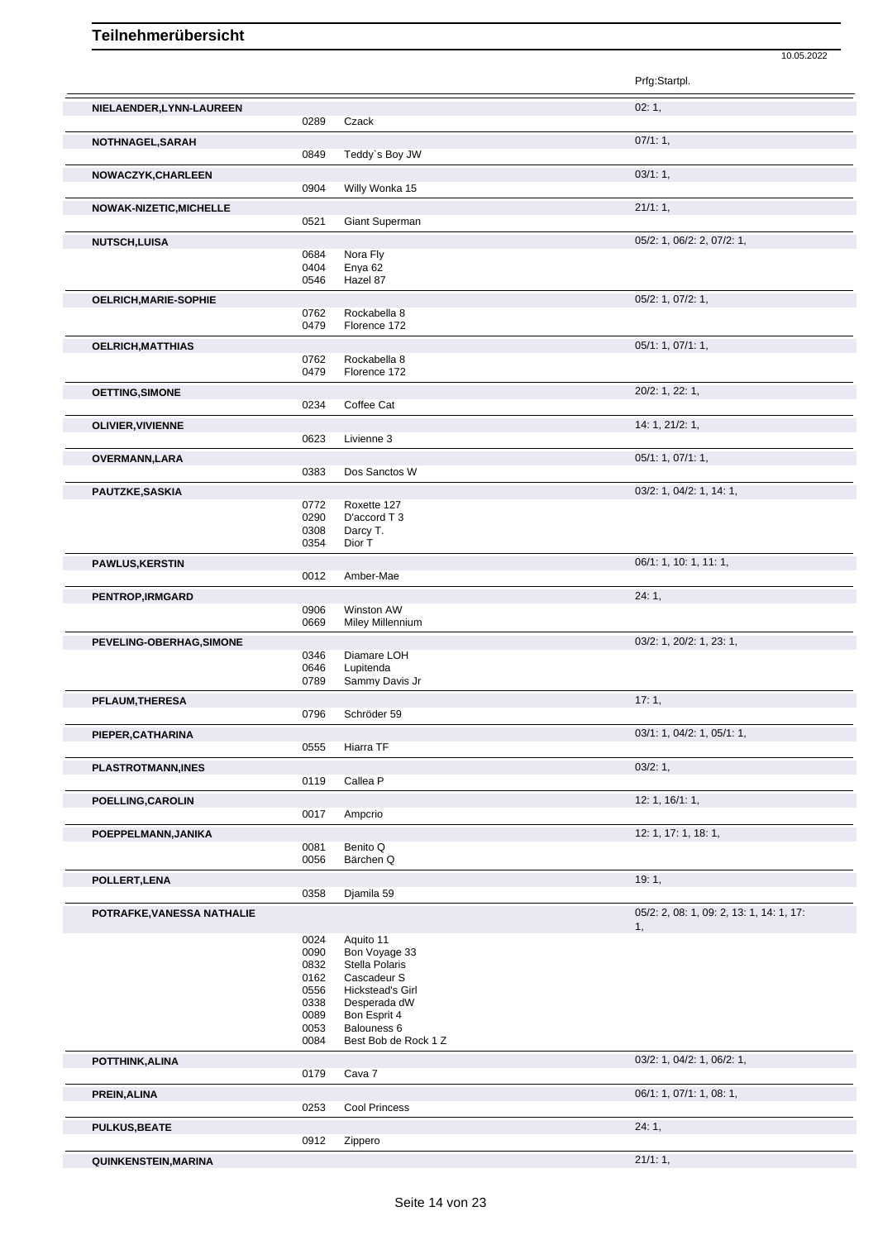|                                |              |                                  | Prfg:Startpl.                            |
|--------------------------------|--------------|----------------------------------|------------------------------------------|
| NIELAENDER, LYNN-LAUREEN       |              |                                  | 02:1,                                    |
|                                | 0289         | Czack                            |                                          |
| NOTHNAGEL, SARAH               | 0849         | Teddy's Boy JW                   | 07/1:1,                                  |
|                                |              |                                  | 03/1:1,                                  |
| NOWACZYK, CHARLEEN             | 0904         | Willy Wonka 15                   |                                          |
| <b>NOWAK-NIZETIC, MICHELLE</b> |              |                                  | 21/1:1,                                  |
|                                | 0521         | Giant Superman                   |                                          |
| <b>NUTSCH,LUISA</b>            |              |                                  | 05/2: 1, 06/2: 2, 07/2: 1,               |
|                                | 0684         | Nora Fly                         |                                          |
|                                | 0404<br>0546 | Enya <sub>62</sub><br>Hazel 87   |                                          |
|                                |              |                                  |                                          |
| <b>OELRICH, MARIE-SOPHIE</b>   | 0762         | Rockabella 8                     | 05/2: 1, 07/2: 1,                        |
|                                | 0479         | Florence 172                     |                                          |
| OELRICH, MATTHIAS              |              |                                  | 05/1: 1, 07/1: 1,                        |
|                                | 0762         | Rockabella 8                     |                                          |
|                                | 0479         | Florence 172                     |                                          |
| <b>OETTING, SIMONE</b>         |              |                                  | 20/2: 1, 22: 1,                          |
|                                | 0234         | Coffee Cat                       |                                          |
| <b>OLIVIER, VIVIENNE</b>       | 0623         | Livienne 3                       | 14: 1, 21/2: 1,                          |
|                                |              |                                  |                                          |
| OVERMANN,LARA                  | 0383         | Dos Sanctos W                    | 05/1: 1, 07/1: 1,                        |
|                                |              |                                  | 03/2: 1, 04/2: 1, 14: 1,                 |
| PAUTZKE, SASKIA                | 0772         | Roxette 127                      |                                          |
|                                | 0290         | D'accord T 3                     |                                          |
|                                | 0308<br>0354 | Darcy T.<br>Dior T               |                                          |
|                                |              |                                  |                                          |
| <b>PAWLUS, KERSTIN</b>         | 0012         | Amber-Mae                        | 06/1: 1, 10: 1, 11: 1,                   |
|                                |              |                                  | 24:1,                                    |
| <b>PENTROP, IRMGARD</b>        | 0906         | Winston AW                       |                                          |
|                                | 0669         | <b>Miley Millennium</b>          |                                          |
| PEVELING-OBERHAG, SIMONE       |              |                                  | 03/2: 1, 20/2: 1, 23: 1,                 |
|                                | 0346<br>0646 | Diamare LOH<br>Lupitenda         |                                          |
|                                | 0789         | Sammy Davis Jr                   |                                          |
| PFLAUM, THERESA                |              |                                  | 17:1,                                    |
|                                | 0796         | Schröder 59                      |                                          |
| PIEPER, CATHARINA              |              |                                  | 03/1: 1, 04/2: 1, 05/1: 1,               |
|                                | 0555         | Hiarra TF                        |                                          |
| <b>PLASTROTMANN, INES</b>      |              |                                  | 03/2:1,                                  |
|                                | 0119         | Callea P                         |                                          |
| POELLING, CAROLIN              |              |                                  | 12: 1, 16/1: 1,                          |
|                                | 0017         | Ampcrio                          |                                          |
| POEPPELMANN, JANIKA            |              | Benito Q                         | 12: 1, 17: 1, 18: 1,                     |
|                                | 0081<br>0056 | Bärchen Q                        |                                          |
| POLLERT, LENA                  |              |                                  | 19:1,                                    |
|                                | 0358         | Djamila 59                       |                                          |
| POTRAFKE, VANESSA NATHALIE     |              |                                  | 05/2: 2, 08: 1, 09: 2, 13: 1, 14: 1, 17: |
|                                |              |                                  | 1,                                       |
|                                | 0024<br>0090 | Aquito 11<br>Bon Voyage 33       |                                          |
|                                | 0832         | Stella Polaris                   |                                          |
|                                | 0162         | Cascadeur S                      |                                          |
|                                | 0556<br>0338 | Hickstead's Girl<br>Desperada dW |                                          |
|                                | 0089         | Bon Esprit 4                     |                                          |
|                                | 0053         | Balouness 6                      |                                          |
|                                | 0084         | Best Bob de Rock 1 Z             |                                          |
| POTTHINK, ALINA                |              |                                  | 03/2: 1, 04/2: 1, 06/2: 1,               |
|                                | 0179         | Cava 7                           |                                          |
| PREIN, ALINA                   | 0253         | Cool Princess                    | 06/1: 1, 07/1: 1, 08: 1,                 |
|                                |              |                                  | 24:1,                                    |
| <b>PULKUS, BEATE</b>           | 0912         | Zippero                          |                                          |
| QUINKENSTEIN, MARINA           |              |                                  | 21/1:1,                                  |
|                                |              |                                  |                                          |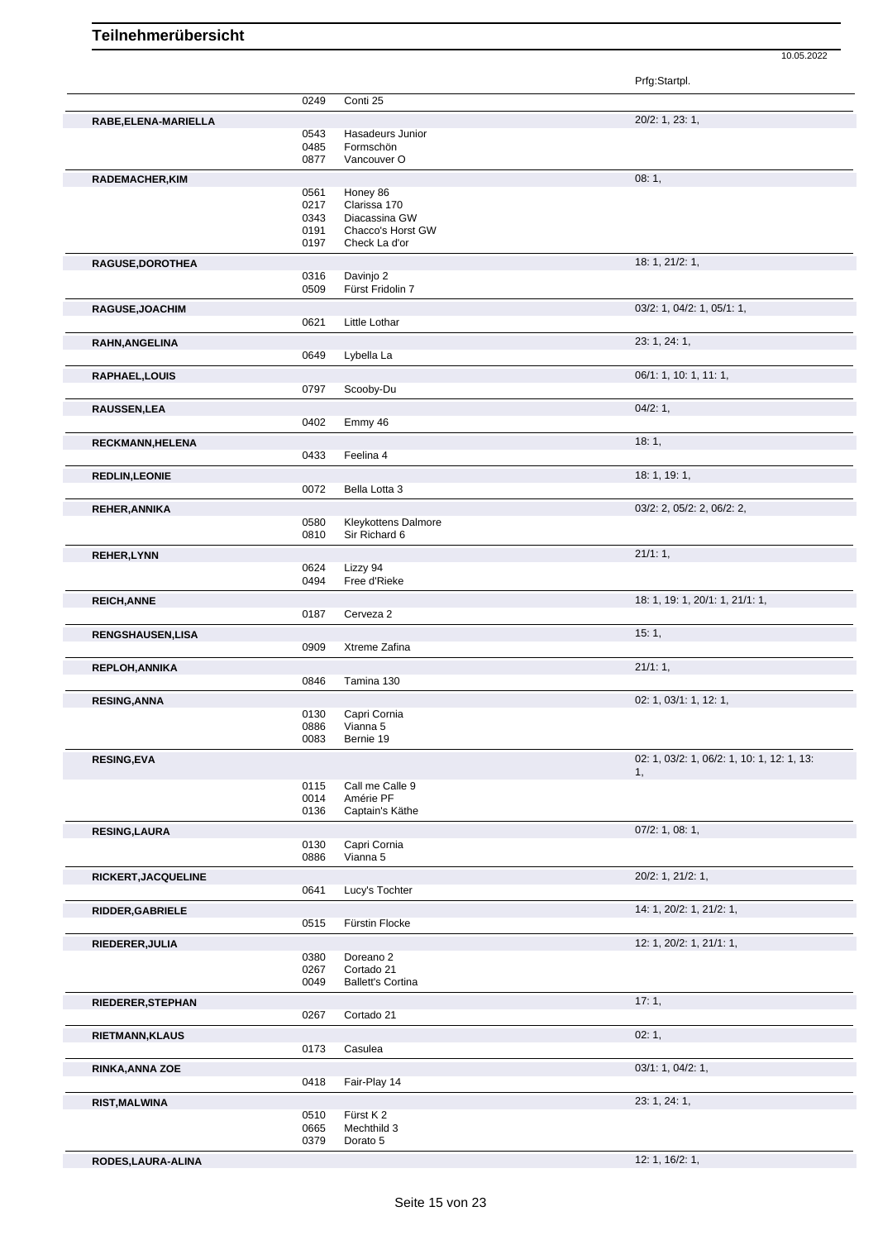|                        |              |                              | Prfg:Startpl.                              |
|------------------------|--------------|------------------------------|--------------------------------------------|
|                        | 0249         | Conti 25                     |                                            |
| RABE, ELENA-MARIELLA   |              |                              | 20/2: 1, 23: 1,                            |
|                        | 0543         | Hasadeurs Junior             |                                            |
|                        | 0485         | Formschön                    |                                            |
|                        | 0877         | Vancouver O                  |                                            |
| RADEMACHER, KIM        |              |                              | 08:1,                                      |
|                        | 0561         | Honey 86                     |                                            |
|                        | 0217         | Clarissa 170                 |                                            |
|                        | 0343         | Diacassina GW                |                                            |
|                        | 0191         | Chacco's Horst GW            |                                            |
|                        | 0197         | Check La d'or                |                                            |
| RAGUSE, DOROTHEA       |              |                              | 18: 1, 21/2: 1,                            |
|                        | 0316         | Davinjo 2                    |                                            |
|                        | 0509         | Fürst Fridolin 7             |                                            |
| RAGUSE, JOACHIM        |              |                              | 03/2: 1, 04/2: 1, 05/1: 1,                 |
|                        | 0621         | Little Lothar                |                                            |
| <b>RAHN, ANGELINA</b>  |              |                              | 23: 1, 24: 1,                              |
|                        | 0649         | Lybella La                   |                                            |
| <b>RAPHAEL,LOUIS</b>   |              |                              | 06/1: 1, 10: 1, 11: 1,                     |
|                        | 0797         | Scooby-Du                    |                                            |
|                        |              |                              |                                            |
| <b>RAUSSEN,LEA</b>     |              |                              | 04/2:1,                                    |
|                        | 0402         | Emmy 46                      |                                            |
| RECKMANN, HELENA       |              |                              | 18:1,                                      |
|                        | 0433         | Feelina 4                    |                                            |
| <b>REDLIN,LEONIE</b>   |              |                              | 18: 1, 19: 1,                              |
|                        | 0072         | Bella Lotta 3                |                                            |
| <b>REHER, ANNIKA</b>   |              |                              | 03/2: 2, 05/2: 2, 06/2: 2,                 |
|                        | 0580         | <b>Kleykottens Dalmore</b>   |                                            |
|                        | 0810         | Sir Richard 6                |                                            |
| <b>REHER,LYNN</b>      |              |                              | 21/1:1,                                    |
|                        | 0624         | Lizzy 94                     |                                            |
|                        | 0494         | Free d'Rieke                 |                                            |
| <b>REICH, ANNE</b>     |              |                              | 18: 1, 19: 1, 20/1: 1, 21/1: 1,            |
|                        | 0187         | Cerveza 2                    |                                            |
|                        |              |                              |                                            |
| RENGSHAUSEN, LISA      | 0909         | Xtreme Zafina                | 15:1,                                      |
|                        |              |                              |                                            |
| REPLOH, ANNIKA         |              |                              | 21/1:1,                                    |
|                        | 0846         | Tamina 130                   |                                            |
| <b>RESING, ANNA</b>    |              |                              | 02: 1, 03/1: 1, 12: 1,                     |
|                        | 0130         | Capri Cornia                 |                                            |
|                        | 0886         | Vianna 5                     |                                            |
|                        | 0083         | Bernie 19                    |                                            |
| <b>RESING, EVA</b>     |              |                              | 02: 1, 03/2: 1, 06/2: 1, 10: 1, 12: 1, 13: |
|                        |              |                              | 1,                                         |
|                        | 0115<br>0014 | Call me Calle 9<br>Amérie PF |                                            |
|                        | 0136         | Captain's Käthe              |                                            |
|                        |              |                              |                                            |
| <b>RESING, LAURA</b>   | 0130         | Capri Cornia                 | $07/2$ : 1, 08: 1,                         |
|                        | 0886         | Vianna 5                     |                                            |
|                        |              |                              |                                            |
| RICKERT, JACQUELINE    |              |                              | 20/2: 1, 21/2: 1,                          |
|                        | 0641         | Lucy's Tochter               |                                            |
| RIDDER, GABRIELE       |              |                              | 14: 1, 20/2: 1, 21/2: 1,                   |
|                        | 0515         | Fürstin Flocke               |                                            |
| RIEDERER, JULIA        |              |                              | 12: 1, 20/2: 1, 21/1: 1,                   |
|                        | 0380         | Doreano <sub>2</sub>         |                                            |
|                        | 0267         | Cortado 21                   |                                            |
|                        | 0049         | <b>Ballett's Cortina</b>     |                                            |
| RIEDERER, STEPHAN      |              |                              | 17:1,                                      |
|                        | 0267         | Cortado 21                   |                                            |
| <b>RIETMANN, KLAUS</b> |              |                              | 02:1,                                      |
|                        | 0173         | Casulea                      |                                            |
|                        |              |                              |                                            |
| <b>RINKA, ANNA ZOE</b> | 0418         | Fair-Play 14                 | 03/1: 1, 04/2: 1,                          |
|                        |              |                              |                                            |
| <b>RIST, MALWINA</b>   |              |                              | 23: 1, 24: 1,                              |
|                        | 0510<br>0665 | Fürst K 2<br>Mechthild 3     |                                            |
|                        | 0379         | Dorato 5                     |                                            |
|                        |              |                              |                                            |
| RODES, LAURA-ALINA     |              |                              | 12: 1, 16/2: 1,                            |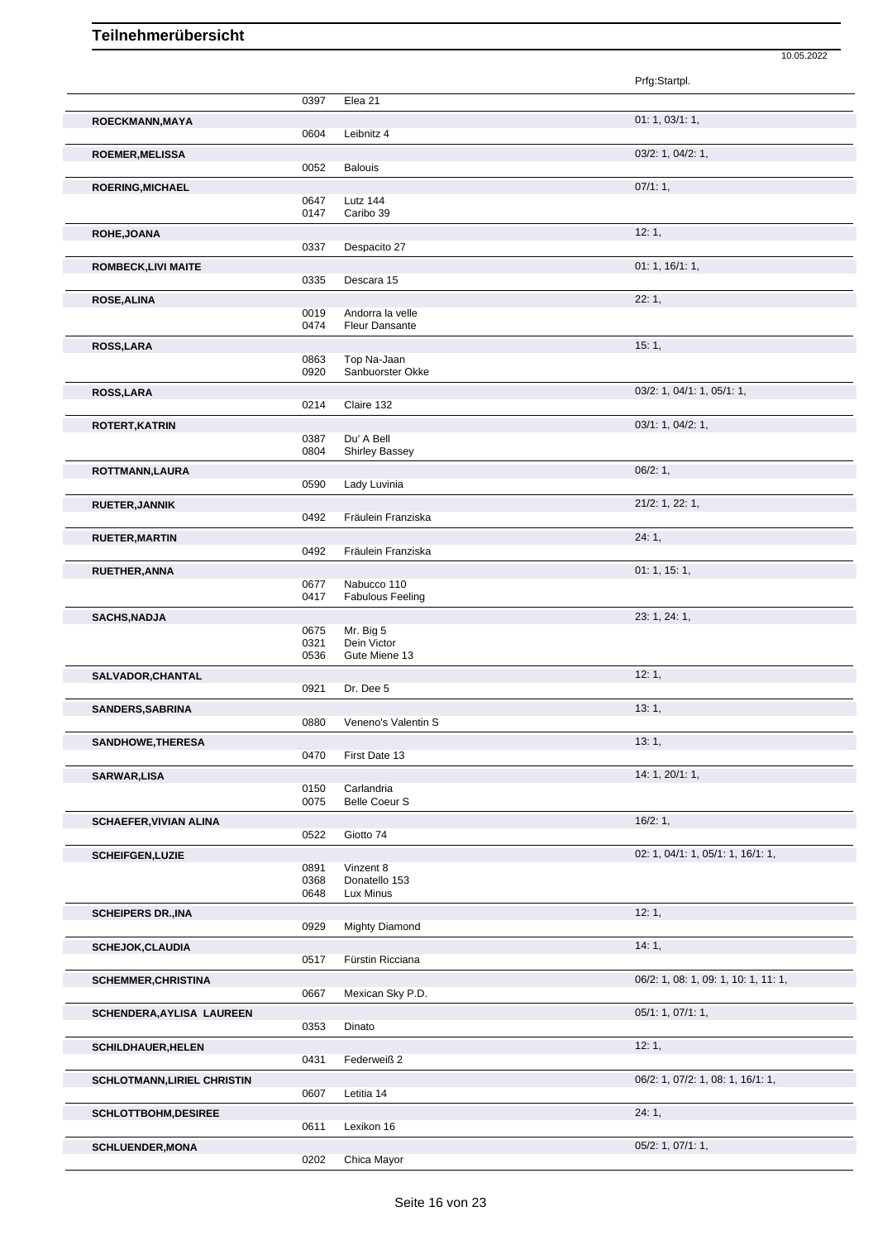|                               |                      |                                           | 10.05.2022                           |
|-------------------------------|----------------------|-------------------------------------------|--------------------------------------|
|                               |                      |                                           | Prfg:Startpl.                        |
|                               | 0397                 | Elea 21                                   |                                      |
| ROECKMANN, MAYA               | 0604                 | Leibnitz 4                                | 01: 1, 03/1: 1,                      |
| <b>ROEMER, MELISSA</b>        | 0052                 | <b>Balouis</b>                            | 03/2: 1, 04/2: 1,                    |
| <b>ROERING, MICHAEL</b>       |                      |                                           | 07/1:1,                              |
|                               | 0647<br>0147         | Lutz 144<br>Caribo 39                     |                                      |
| ROHE, JOANA                   |                      |                                           | 12:1,                                |
| <b>ROMBECK,LIVI MAITE</b>     | 0337                 | Despacito 27                              | 01: 1, 16/1: 1,                      |
|                               | 0335                 | Descara 15                                |                                      |
| <b>ROSE, ALINA</b>            | 0019<br>0474         | Andorra la velle<br><b>Fleur Dansante</b> | 22:1,                                |
| <b>ROSS,LARA</b>              |                      |                                           | 15:1,                                |
|                               | 0863<br>0920         | Top Na-Jaan<br>Sanbuorster Okke           |                                      |
| ROSS, LARA                    |                      |                                           | 03/2: 1, 04/1: 1, 05/1: 1,           |
|                               | 0214                 | Claire 132                                |                                      |
| <b>ROTERT, KATRIN</b>         | 0387                 | Du' A Bell                                | 03/1: 1, 04/2: 1,                    |
|                               | 0804                 | <b>Shirley Bassey</b>                     | 06/2:1,                              |
| ROTTMANN, LAURA               | 0590                 | Lady Luvinia                              |                                      |
| <b>RUETER, JANNIK</b>         |                      |                                           | $21/2$ : 1, 22: 1,                   |
| <b>RUETER, MARTIN</b>         | 0492                 | Fräulein Franziska                        | 24:1,                                |
|                               | 0492                 | Fräulein Franziska                        |                                      |
| <b>RUETHER, ANNA</b>          |                      |                                           | 01:1, 15:1,                          |
|                               | 0677<br>0417         | Nabucco 110<br><b>Fabulous Feeling</b>    |                                      |
| <b>SACHS, NADJA</b>           |                      |                                           | 23: 1, 24: 1,                        |
|                               | 0675<br>0321<br>0536 | Mr. Big 5<br>Dein Victor<br>Gute Miene 13 |                                      |
| SALVADOR, CHANTAL             |                      |                                           | 12:1,                                |
|                               | 0921                 | Dr. Dee 5                                 |                                      |
| SANDERS, SABRINA              | 0880                 | Veneno's Valentin S                       | 13:1,                                |
| SANDHOWE, THERESA             |                      |                                           | 13:1,                                |
| SARWAR, LISA                  | 0470                 | First Date 13                             | 14: 1, 20/1: 1,                      |
|                               | 0150                 | Carlandria                                |                                      |
| <b>SCHAEFER, VIVIAN ALINA</b> | 0075                 | <b>Belle Coeur S</b>                      | 16/2:1,                              |
|                               | 0522                 | Giotto 74                                 |                                      |
| <b>SCHEIFGEN, LUZIE</b>       | 0891                 | Vinzent 8                                 | 02: 1, 04/1: 1, 05/1: 1, 16/1: 1,    |
|                               | 0368                 | Donatello 153                             |                                      |
|                               | 0648                 | Lux Minus                                 | 12:1,                                |
| <b>SCHEIPERS DR., INA</b>     | 0929                 | <b>Mighty Diamond</b>                     |                                      |
| <b>SCHEJOK, CLAUDIA</b>       |                      |                                           | 14:1,                                |
| <b>SCHEMMER, CHRISTINA</b>    | 0517                 | Fürstin Ricciana                          | 06/2: 1, 08: 1, 09: 1, 10: 1, 11: 1, |
|                               | 0667                 | Mexican Sky P.D.                          |                                      |
| SCHENDERA, AYLISA LAUREEN     | 0353                 | Dinato                                    | 05/1: 1, 07/1: 1,                    |
| <b>SCHILDHAUER, HELEN</b>     | 0431                 | Federweiß 2                               | 12:1,                                |
| SCHLOTMANN, LIRIEL CHRISTIN   |                      |                                           | 06/2: 1, 07/2: 1, 08: 1, 16/1: 1,    |
|                               | 0607                 | Letitia 14                                |                                      |
| SCHLOTTBOHM, DESIREE          | 0611                 | Lexikon 16                                | 24:1,                                |
| <b>SCHLUENDER, MONA</b>       | 0202                 | Chica Mayor                               | 05/2: 1, 07/1: 1,                    |
|                               |                      |                                           |                                      |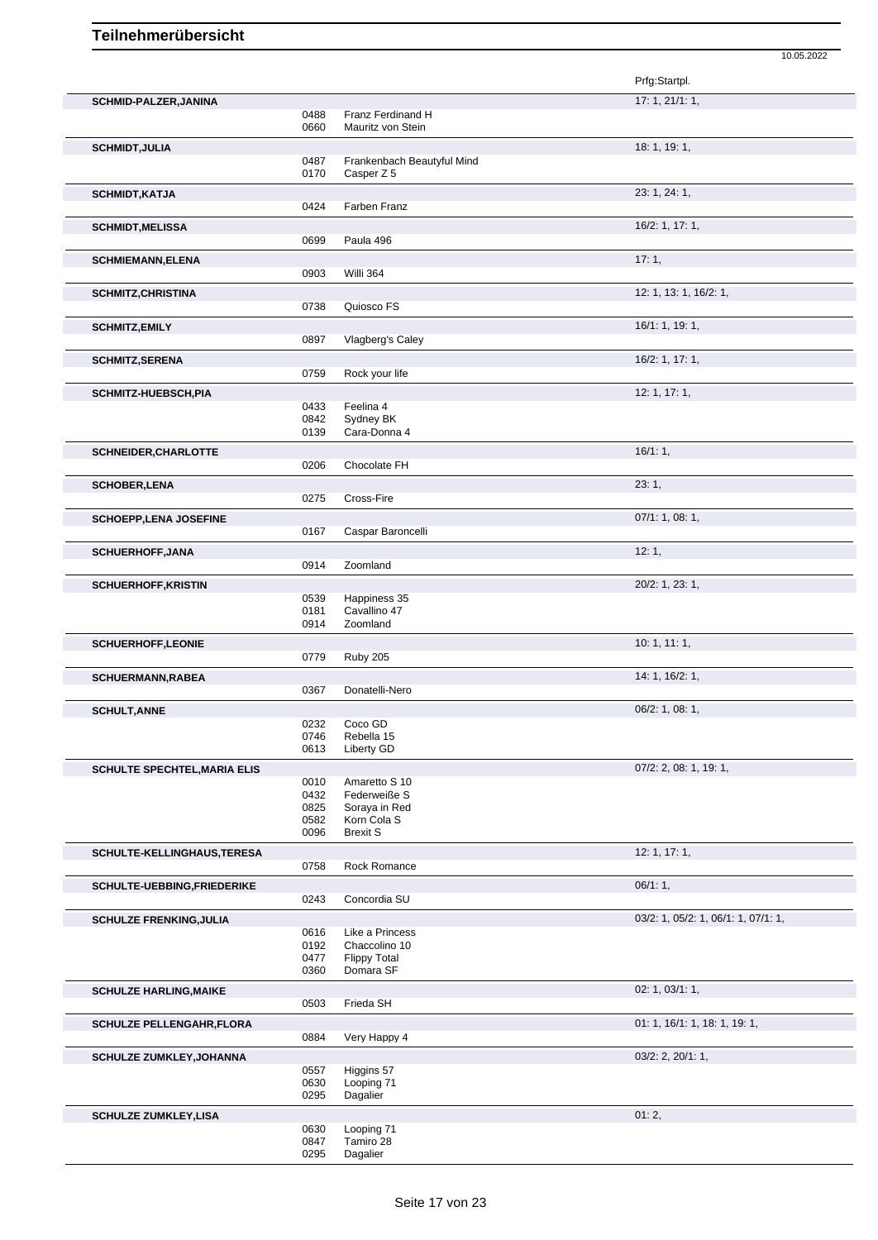|                                     |              |                                  | 10.05.2022                          |
|-------------------------------------|--------------|----------------------------------|-------------------------------------|
|                                     |              |                                  | Prfg:Startpl.                       |
| SCHMID-PALZER, JANINA               |              |                                  | 17:1, 21/1:1,                       |
|                                     | 0488         | Franz Ferdinand H                |                                     |
|                                     | 0660         | Mauritz von Stein                |                                     |
| <b>SCHMIDT, JULIA</b>               |              | Frankenbach Beautyful Mind       | 18: 1, 19: 1,                       |
|                                     | 0487<br>0170 | Casper Z 5                       |                                     |
| <b>SCHMIDT, KATJA</b>               |              |                                  | 23: 1, 24: 1,                       |
|                                     | 0424         | Farben Franz                     |                                     |
| <b>SCHMIDT, MELISSA</b>             |              |                                  | 16/2: 1, 17: 1,                     |
|                                     | 0699         | Paula 496                        |                                     |
| <b>SCHMIEMANN, ELENA</b>            |              |                                  | 17:1,                               |
|                                     | 0903         | Willi 364                        |                                     |
| <b>SCHMITZ, CHRISTINA</b>           |              |                                  | 12: 1, 13: 1, 16/2: 1,              |
|                                     | 0738         | Quiosco FS                       |                                     |
| <b>SCHMITZ,EMILY</b>                |              |                                  | 16/1: 1, 19: 1,                     |
|                                     | 0897         | Vlagberg's Caley                 |                                     |
| <b>SCHMITZ, SERENA</b>              |              |                                  | 16/2: 1, 17: 1,                     |
|                                     | 0759         | Rock your life                   |                                     |
| SCHMITZ-HUEBSCH, PIA                |              |                                  | 12: 1, 17: 1,                       |
|                                     | 0433         | Feelina 4                        |                                     |
|                                     | 0842         | Sydney BK                        |                                     |
|                                     | 0139         | Cara-Donna 4                     |                                     |
| <b>SCHNEIDER, CHARLOTTE</b>         |              |                                  | 16/1:1,                             |
|                                     | 0206         | Chocolate FH                     |                                     |
| <b>SCHOBER,LENA</b>                 |              |                                  | 23:1,                               |
|                                     | 0275         | Cross-Fire                       |                                     |
| <b>SCHOEPP, LENA JOSEFINE</b>       |              |                                  | 07/1: 1, 08: 1,                     |
|                                     | 0167         | Caspar Baroncelli                |                                     |
| <b>SCHUERHOFF, JANA</b>             |              |                                  | 12:1,                               |
|                                     | 0914         | Zoomland                         |                                     |
| <b>SCHUERHOFF, KRISTIN</b>          |              |                                  | 20/2: 1, 23: 1,                     |
|                                     | 0539<br>0181 | Happiness 35<br>Cavallino 47     |                                     |
|                                     | 0914         | Zoomland                         |                                     |
| <b>SCHUERHOFF,LEONIE</b>            |              |                                  | 10:1, 11:1,                         |
|                                     | 0779         | Ruby 205                         |                                     |
| <b>SCHUERMANN, RABEA</b>            |              |                                  | 14: 1, 16/2: 1,                     |
|                                     | 0367         | Donatelli-Nero                   |                                     |
| <b>SCHULT, ANNE</b>                 |              |                                  | 06/2: 1, 08: 1,                     |
|                                     | 0232         | Coco GD                          |                                     |
|                                     | 0746         | Rebella 15                       |                                     |
|                                     | 0613         | Liberty GD                       |                                     |
| <b>SCHULTE SPECHTEL, MARIA ELIS</b> |              |                                  | $07/2$ : 2, 08: 1, 19: 1,           |
|                                     | 0010<br>0432 | Amaretto S 10<br>Federweiße S    |                                     |
|                                     | 0825         | Soraya in Red                    |                                     |
|                                     | 0582         | Korn Cola S                      |                                     |
|                                     | 0096         | <b>Brexit S</b>                  |                                     |
| SCHULTE-KELLINGHAUS, TERESA         |              |                                  | 12: 1, 17: 1,                       |
|                                     | 0758         | Rock Romance                     |                                     |
| SCHULTE-UEBBING, FRIEDERIKE         |              |                                  | 06/1:1,                             |
|                                     | 0243         | Concordia SU                     |                                     |
| <b>SCHULZE FRENKING, JULIA</b>      |              |                                  | 03/2: 1, 05/2: 1, 06/1: 1, 07/1: 1, |
|                                     | 0616<br>0192 | Like a Princess<br>Chaccolino 10 |                                     |
|                                     | 0477         | <b>Flippy Total</b>              |                                     |
|                                     | 0360         | Domara SF                        |                                     |
| <b>SCHULZE HARLING, MAIKE</b>       |              |                                  | 02: 1, 03/1: 1,                     |
|                                     | 0503         | Frieda SH                        |                                     |
| <b>SCHULZE PELLENGAHR, FLORA</b>    |              |                                  | 01: 1, 16/1: 1, 18: 1, 19: 1,       |
|                                     | 0884         | Very Happy 4                     |                                     |
| <b>SCHULZE ZUMKLEY, JOHANNA</b>     |              |                                  | 03/2: 2, 20/1: 1,                   |
|                                     | 0557         | Higgins 57                       |                                     |
|                                     | 0630         | Looping 71                       |                                     |
|                                     | 0295         | Dagalier                         |                                     |
| <b>SCHULZE ZUMKLEY,LISA</b>         |              |                                  | 01:2,                               |
|                                     | 0630         | Looping 71<br>Tamiro 28          |                                     |
|                                     | 0847<br>0295 | Dagalier                         |                                     |
|                                     |              |                                  |                                     |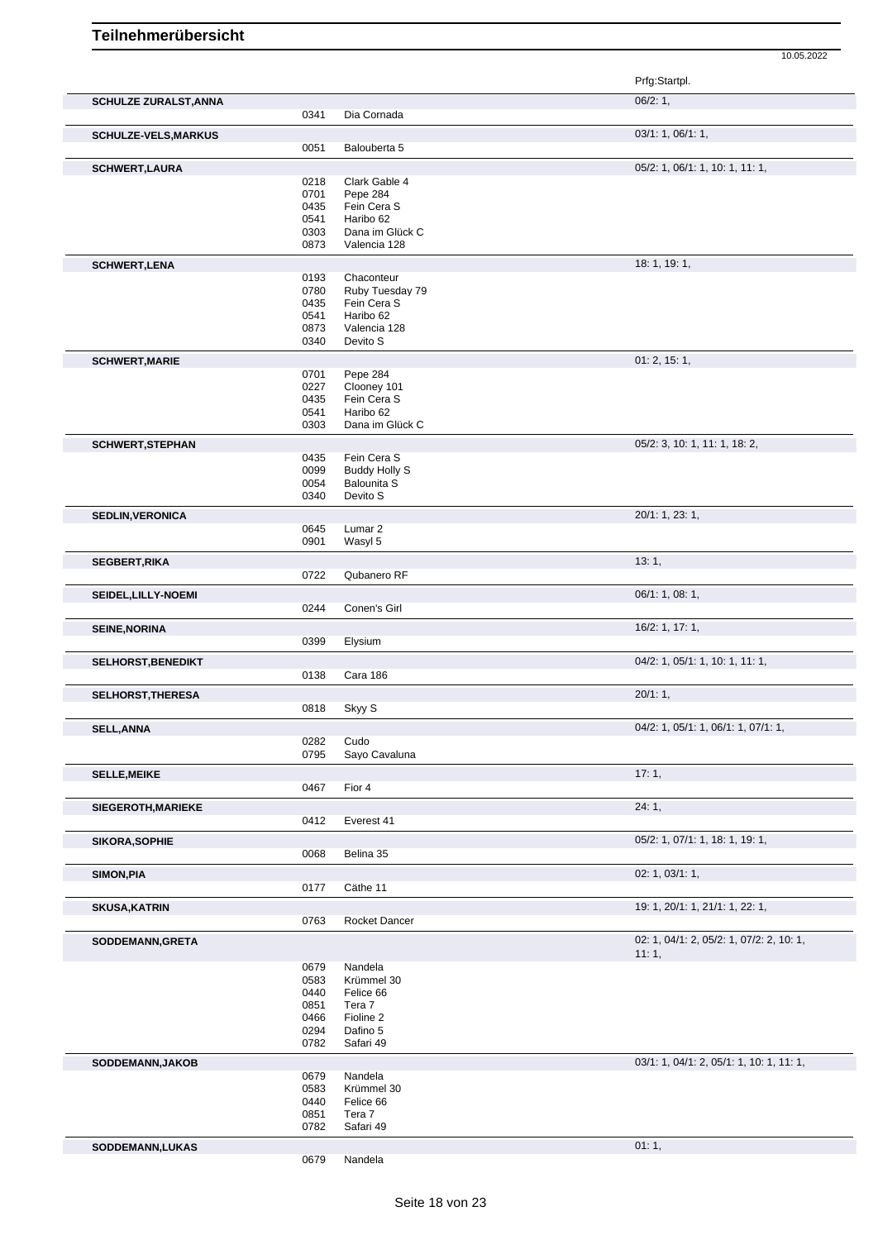|                              |              |                               | Prfg:Startpl.                                     |
|------------------------------|--------------|-------------------------------|---------------------------------------------------|
| <b>SCHULZE ZURALST, ANNA</b> | 0341         | Dia Cornada                   | 06/2:1,                                           |
|                              |              |                               |                                                   |
| <b>SCHULZE-VELS, MARKUS</b>  | 0051         | Balouberta 5                  | 03/1: 1, 06/1: 1,                                 |
| <b>SCHWERT, LAURA</b>        |              |                               | 05/2: 1, 06/1: 1, 10: 1, 11: 1,                   |
|                              | 0218         | Clark Gable 4                 |                                                   |
|                              | 0701         | Pepe 284                      |                                                   |
|                              | 0435         | Fein Cera S                   |                                                   |
|                              | 0541<br>0303 | Haribo 62<br>Dana im Glück C  |                                                   |
|                              | 0873         | Valencia 128                  |                                                   |
| <b>SCHWERT, LENA</b>         |              |                               | 18: 1, 19: 1,                                     |
|                              | 0193         | Chaconteur                    |                                                   |
|                              | 0780         | Ruby Tuesday 79               |                                                   |
|                              | 0435         | Fein Cera S                   |                                                   |
|                              | 0541<br>0873 | Haribo 62<br>Valencia 128     |                                                   |
|                              | 0340         | Devito S                      |                                                   |
| <b>SCHWERT, MARIE</b>        |              |                               | 01: 2, 15: 1,                                     |
|                              | 0701         | Pepe 284                      |                                                   |
|                              | 0227         | Clooney 101                   |                                                   |
|                              | 0435         | Fein Cera S                   |                                                   |
|                              | 0541<br>0303 | Haribo 62<br>Dana im Glück C  |                                                   |
|                              |              |                               |                                                   |
| <b>SCHWERT, STEPHAN</b>      | 0435         | Fein Cera S                   | 05/2: 3, 10: 1, 11: 1, 18: 2,                     |
|                              | 0099         | <b>Buddy Holly S</b>          |                                                   |
|                              | 0054         | <b>Balounita S</b>            |                                                   |
|                              | 0340         | Devito S                      |                                                   |
| <b>SEDLIN, VERONICA</b>      |              |                               | 20/1: 1, 23: 1,                                   |
|                              | 0645<br>0901 | Lumar <sub>2</sub><br>Wasyl 5 |                                                   |
|                              |              |                               |                                                   |
| <b>SEGBERT, RIKA</b>         | 0722         | Qubanero RF                   | 13:1,                                             |
|                              |              |                               | 06/1: 1, 08: 1,                                   |
| SEIDEL, LILLY-NOEMI          | 0244         | Conen's Girl                  |                                                   |
| <b>SEINE, NORINA</b>         |              |                               | 16/2: 1, 17: 1,                                   |
|                              | 0399         | Elysium                       |                                                   |
| <b>SELHORST, BENEDIKT</b>    |              |                               | 04/2: 1, 05/1: 1, 10: 1, 11: 1,                   |
|                              | 0138         | Cara 186                      |                                                   |
| <b>SELHORST, THERESA</b>     |              |                               | 20/1:1,                                           |
|                              | 0818         | Skyy S                        |                                                   |
| <b>SELL, ANNA</b>            |              |                               | $04/2$ : 1, $05/1$ : 1, $06/1$ : 1, $07/1$ : 1,   |
|                              | 0282<br>0795 | Cudo<br>Sayo Cavaluna         |                                                   |
| <b>SELLE, MEIKE</b>          |              |                               | 17:1,                                             |
|                              | 0467         | Fior 4                        |                                                   |
| SIEGEROTH, MARIEKE           |              |                               | 24:1,                                             |
|                              | 0412         | Everest 41                    |                                                   |
| SIKORA, SOPHIE               |              |                               | 05/2: 1, 07/1: 1, 18: 1, 19: 1,                   |
|                              | 0068         | Belina 35                     |                                                   |
| SIMON, PIA                   |              |                               | 02: 1, 03/1: 1,                                   |
|                              | 0177         | Cäthe 11                      |                                                   |
| <b>SKUSA, KATRIN</b>         |              |                               | 19: 1, 20/1: 1, 21/1: 1, 22: 1,                   |
|                              | 0763         | Rocket Dancer                 |                                                   |
| SODDEMANN, GRETA             |              |                               | 02: 1, 04/1: 2, 05/2: 1, 07/2: 2, 10: 1,<br>11:1, |
|                              | 0679         | Nandela                       |                                                   |
|                              | 0583         | Krümmel 30                    |                                                   |
|                              | 0440         | Felice 66                     |                                                   |
|                              | 0851<br>0466 | Tera 7<br>Fioline 2           |                                                   |
|                              | 0294         | Dafino 5                      |                                                   |
|                              | 0782         | Safari 49                     |                                                   |
| SODDEMANN, JAKOB             |              |                               | $03/1: 1, 04/1: 2, 05/1: 1, 10: 1, 11: 1,$        |
|                              | 0679         | Nandela                       |                                                   |
|                              | 0583         | Krümmel 30                    |                                                   |
|                              | 0440<br>0851 | Felice 66<br>Tera 7           |                                                   |
|                              | 0782         | Safari 49                     |                                                   |
| SODDEMANN, LUKAS             |              |                               | 01:1,                                             |
|                              | 0679         | Nandela                       |                                                   |
|                              |              |                               |                                                   |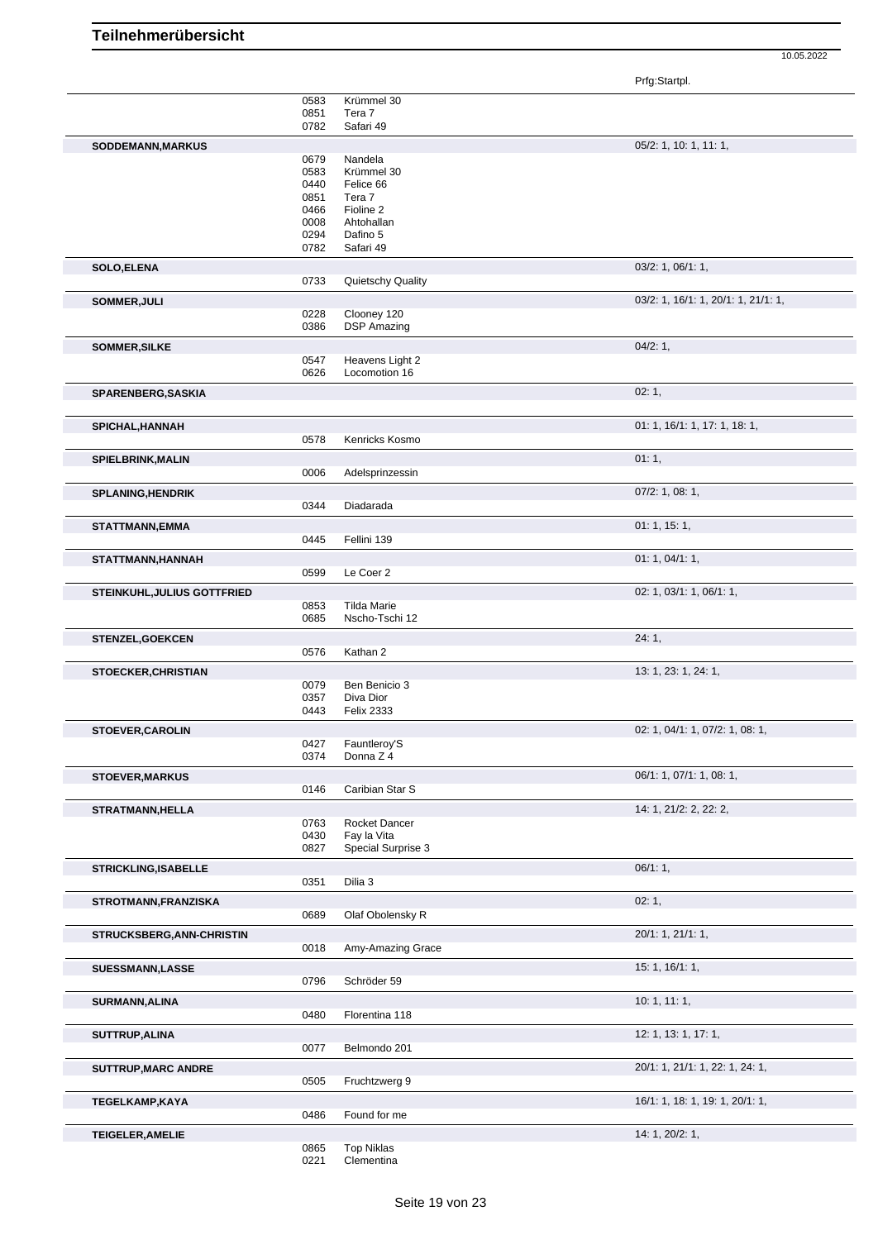Prfg:Startpl.

|                                    | 0583 | Krümmel 30         |                                     |  |
|------------------------------------|------|--------------------|-------------------------------------|--|
|                                    | 0851 | Tera 7             |                                     |  |
|                                    | 0782 | Safari 49          |                                     |  |
|                                    |      |                    |                                     |  |
| SODDEMANN, MARKUS                  |      |                    | 05/2: 1, 10: 1, 11: 1,              |  |
|                                    | 0679 | Nandela            |                                     |  |
|                                    |      |                    |                                     |  |
|                                    | 0583 | Krümmel 30         |                                     |  |
|                                    | 0440 | Felice 66          |                                     |  |
|                                    | 0851 | Tera 7             |                                     |  |
|                                    | 0466 | Fioline 2          |                                     |  |
|                                    | 0008 | Ahtohallan         |                                     |  |
|                                    |      |                    |                                     |  |
|                                    | 0294 | Dafino 5           |                                     |  |
|                                    | 0782 | Safari 49          |                                     |  |
|                                    |      |                    |                                     |  |
| <b>SOLO,ELENA</b>                  |      |                    | 03/2: 1, 06/1: 1,                   |  |
|                                    | 0733 | Quietschy Quality  |                                     |  |
|                                    |      |                    |                                     |  |
| SOMMER, JULI                       |      |                    | 03/2: 1, 16/1: 1, 20/1: 1, 21/1: 1, |  |
|                                    | 0228 | Clooney 120        |                                     |  |
|                                    | 0386 | <b>DSP Amazing</b> |                                     |  |
|                                    |      |                    |                                     |  |
| SOMMER, SILKE                      |      |                    | 04/2:1,                             |  |
|                                    | 0547 | Heavens Light 2    |                                     |  |
|                                    | 0626 | Locomotion 16      |                                     |  |
|                                    |      |                    |                                     |  |
| SPARENBERG, SASKIA                 |      |                    | 02:1,                               |  |
|                                    |      |                    |                                     |  |
|                                    |      |                    |                                     |  |
| SPICHAL, HANNAH                    |      |                    | 01: 1, 16/1: 1, 17: 1, 18: 1,       |  |
|                                    |      |                    |                                     |  |
|                                    | 0578 | Kenricks Kosmo     |                                     |  |
| <b>SPIELBRINK, MALIN</b>           |      |                    | 01:1,                               |  |
|                                    |      |                    |                                     |  |
|                                    | 0006 | Adelsprinzessin    |                                     |  |
|                                    |      |                    | $07/2$ : 1, 08: 1,                  |  |
| <b>SPLANING, HENDRIK</b>           |      |                    |                                     |  |
|                                    | 0344 | Diadarada          |                                     |  |
|                                    |      |                    | 01:1, 15:1,                         |  |
| <b>STATTMANN, EMMA</b>             |      |                    |                                     |  |
|                                    | 0445 | Fellini 139        |                                     |  |
|                                    |      |                    |                                     |  |
| STATTMANN, HANNAH                  |      |                    | 01: 1, 04/1: 1,                     |  |
|                                    | 0599 | Le Coer 2          |                                     |  |
|                                    |      |                    |                                     |  |
| <b>STEINKUHL, JULIUS GOTTFRIED</b> |      |                    | 02: 1, 03/1: 1, 06/1: 1,            |  |
|                                    | 0853 | <b>Tilda Marie</b> |                                     |  |
|                                    | 0685 | Nscho-Tschi 12     |                                     |  |
|                                    |      |                    |                                     |  |
| <b>STENZEL, GOEKCEN</b>            |      |                    | 24:1,                               |  |
|                                    | 0576 | Kathan 2           |                                     |  |
|                                    |      |                    |                                     |  |
|                                    |      |                    | 13: 1, 23: 1, 24: 1,                |  |
|                                    |      |                    |                                     |  |
| <b>STOECKER, CHRISTIAN</b>         |      |                    |                                     |  |
|                                    | 0079 | Ben Benicio 3      |                                     |  |
|                                    | 0357 | Diva Dior          |                                     |  |
|                                    | 0443 | <b>Felix 2333</b>  |                                     |  |
|                                    |      |                    |                                     |  |
| <b>STOEVER, CAROLIN</b>            |      |                    | 02: 1, 04/1: 1, 07/2: 1, 08: 1,     |  |
|                                    | 0427 | Fauntleroy'S       |                                     |  |
|                                    |      |                    |                                     |  |
|                                    | 0374 | Donna Z 4          |                                     |  |
|                                    |      |                    |                                     |  |
| <b>STOEVER, MARKUS</b>             |      |                    | 06/1: 1, 07/1: 1, 08: 1,            |  |
|                                    | 0146 | Caribian Star S    |                                     |  |
|                                    |      |                    |                                     |  |
| <b>STRATMANN, HELLA</b>            |      |                    | 14: 1, 21/2: 2, 22: 2,              |  |
|                                    | 0763 | Rocket Dancer      |                                     |  |
|                                    | 0430 | Fay la Vita        |                                     |  |
|                                    | 0827 | Special Surprise 3 |                                     |  |
|                                    |      |                    |                                     |  |
| <b>STRICKLING, ISABELLE</b>        |      |                    | 06/1:1,                             |  |
|                                    | 0351 | Dilia 3            |                                     |  |
|                                    |      |                    |                                     |  |
| STROTMANN, FRANZISKA               |      |                    | 02:1,                               |  |
|                                    | 0689 | Olaf Obolensky R   |                                     |  |
|                                    |      |                    |                                     |  |
| <b>STRUCKSBERG, ANN-CHRISTIN</b>   |      |                    | 20/1: 1, 21/1: 1,                   |  |
|                                    | 0018 | Amy-Amazing Grace  |                                     |  |
|                                    |      |                    |                                     |  |
| <b>SUESSMANN,LASSE</b>             |      |                    | 15: 1, 16/1: 1,                     |  |
|                                    |      |                    |                                     |  |
|                                    | 0796 | Schröder 59        |                                     |  |
|                                    |      |                    | 10:1, 11:1,                         |  |
| <b>SURMANN, ALINA</b>              |      |                    |                                     |  |
|                                    | 0480 | Florentina 118     |                                     |  |
|                                    |      |                    |                                     |  |
| SUTTRUP, ALINA                     |      |                    | 12: 1, 13: 1, 17: 1,                |  |
|                                    | 0077 | Belmondo 201       |                                     |  |
|                                    |      |                    |                                     |  |
| <b>SUTTRUP, MARC ANDRE</b>         |      |                    | 20/1: 1, 21/1: 1, 22: 1, 24: 1,     |  |
|                                    | 0505 | Fruchtzwerg 9      |                                     |  |
|                                    |      |                    |                                     |  |
| <b>TEGELKAMP,KAYA</b>              |      |                    | 16/1: 1, 18: 1, 19: 1, 20/1: 1,     |  |
|                                    | 0486 | Found for me       |                                     |  |
|                                    |      |                    |                                     |  |
| <b>TEIGELER, AMELIE</b>            |      |                    | 14: 1, 20/2: 1,                     |  |
|                                    | 0865 | <b>Top Niklas</b>  |                                     |  |
|                                    | 0221 | Clementina         |                                     |  |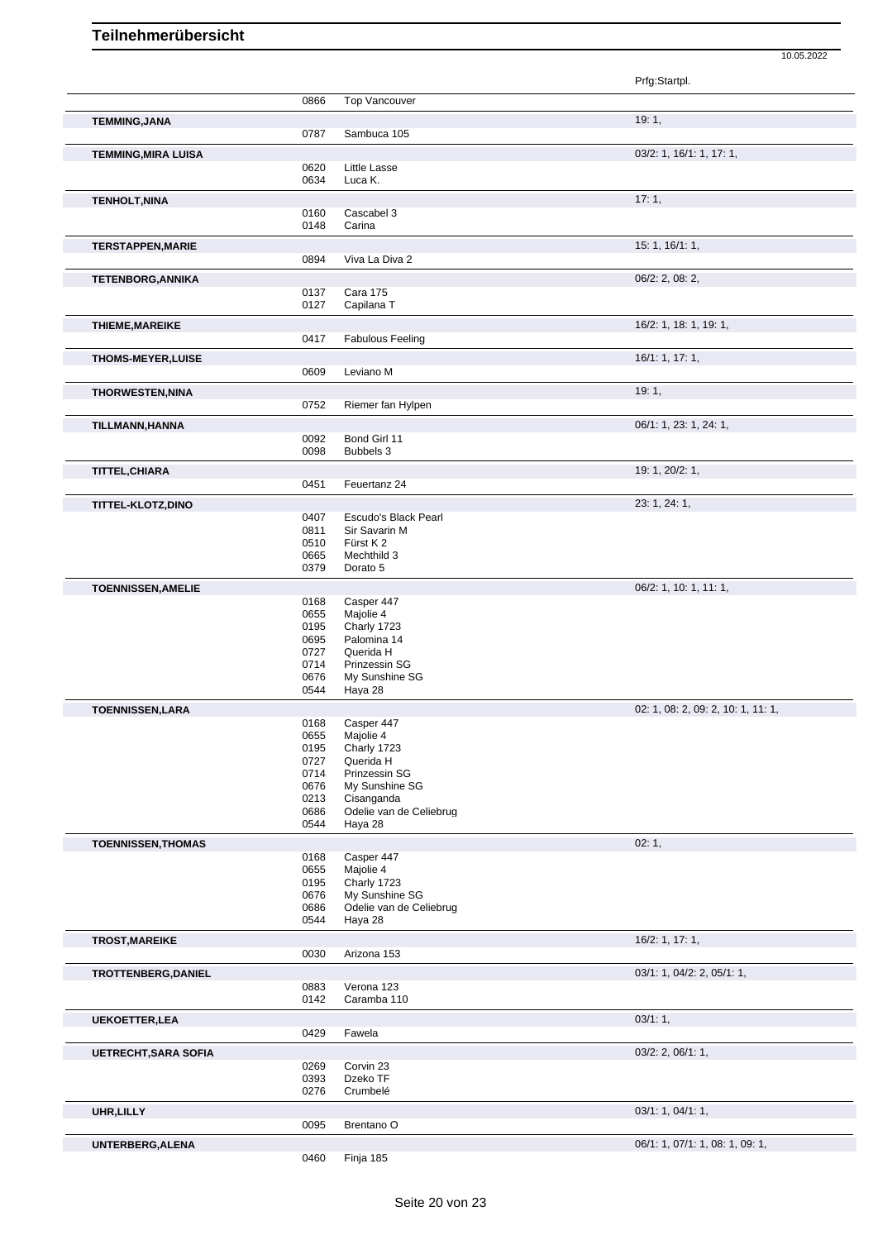|                             |              |                                       | Prfg:Startpl.                      |
|-----------------------------|--------------|---------------------------------------|------------------------------------|
|                             | 0866         | <b>Top Vancouver</b>                  |                                    |
| <b>TEMMING, JANA</b>        |              |                                       | 19:1,                              |
|                             | 0787         | Sambuca 105                           |                                    |
| <b>TEMMING, MIRA LUISA</b>  |              |                                       | 03/2: 1, 16/1: 1, 17: 1,           |
|                             | 0620         | <b>Little Lasse</b>                   |                                    |
|                             | 0634         | Luca K.                               |                                    |
| <b>TENHOLT, NINA</b>        |              |                                       | 17:1,                              |
|                             | 0160         | Cascabel 3                            |                                    |
|                             | 0148         | Carina                                |                                    |
| <b>TERSTAPPEN, MARIE</b>    |              |                                       | 15: 1, 16/1: 1,                    |
|                             | 0894         | Viva La Diva 2                        |                                    |
| <b>TETENBORG, ANNIKA</b>    | 0137         | <b>Cara 175</b>                       | $06/2$ : 2, 08: 2,                 |
|                             | 0127         | Capilana T                            |                                    |
| <b>THIEME, MAREIKE</b>      |              |                                       | 16/2: 1, 18: 1, 19: 1,             |
|                             | 0417         | <b>Fabulous Feeling</b>               |                                    |
| <b>THOMS-MEYER, LUISE</b>   |              |                                       | 16/1: 1, 17: 1,                    |
|                             | 0609         | Leviano M                             |                                    |
| <b>THORWESTEN, NINA</b>     |              |                                       | 19:1,                              |
|                             | 0752         | Riemer fan Hylpen                     |                                    |
| TILLMANN, HANNA             |              |                                       | 06/1: 1, 23: 1, 24: 1,             |
|                             | 0092         | Bond Girl 11                          |                                    |
|                             | 0098         | Bubbels 3                             |                                    |
| TITTEL, CHIARA              |              |                                       | 19: 1, 20/2: 1,                    |
|                             | 0451         | Feuertanz 24                          |                                    |
| <b>TITTEL-KLOTZ,DINO</b>    |              |                                       | 23: 1, 24: 1,                      |
|                             | 0407<br>0811 | Escudo's Black Pearl<br>Sir Savarin M |                                    |
|                             | 0510         | Fürst K2                              |                                    |
|                             | 0665         | Mechthild 3                           |                                    |
|                             | 0379         | Dorato 5                              |                                    |
| <b>TOENNISSEN, AMELIE</b>   |              |                                       | 06/2: 1, 10: 1, 11: 1,             |
|                             | 0168<br>0655 | Casper 447<br>Majolie 4               |                                    |
|                             | 0195         | Charly 1723                           |                                    |
|                             | 0695         | Palomina 14<br>Querida H              |                                    |
|                             | 0727<br>0714 | Prinzessin SG                         |                                    |
|                             | 0676         | My Sunshine SG                        |                                    |
|                             | 0544         | Haya 28                               |                                    |
| <b>TOENNISSEN,LARA</b>      |              |                                       | 02: 1, 08: 2, 09: 2, 10: 1, 11: 1, |
|                             | 0168<br>0655 | Casper 447<br>Majolie 4               |                                    |
|                             | 0195         | Charly 1723                           |                                    |
|                             | 0727         | Querida H                             |                                    |
|                             | 0714<br>0676 | Prinzessin SG<br>My Sunshine SG       |                                    |
|                             | 0213         | Cisanganda                            |                                    |
|                             | 0686         | Odelie van de Celiebrug               |                                    |
|                             | 0544         | Haya 28                               |                                    |
| <b>TOENNISSEN, THOMAS</b>   |              | Casper 447                            | 02:1,                              |
|                             | 0168<br>0655 | Majolie 4                             |                                    |
|                             | 0195         | Charly 1723                           |                                    |
|                             | 0676         | My Sunshine SG                        |                                    |
|                             | 0686<br>0544 | Odelie van de Celiebrug<br>Haya 28    |                                    |
| <b>TROST, MAREIKE</b>       |              |                                       | 16/2: 1, 17: 1,                    |
|                             | 0030         | Arizona 153                           |                                    |
| TROTTENBERG, DANIEL         |              |                                       | 03/1: 1, 04/2: 2, 05/1: 1,         |
|                             | 0883         | Verona 123                            |                                    |
|                             | 0142         | Caramba 110                           |                                    |
| <b>UEKOETTER, LEA</b>       |              |                                       | 03/1:1,                            |
|                             | 0429         | Fawela                                |                                    |
| <b>UETRECHT, SARA SOFIA</b> |              |                                       | 03/2: 2, 06/1: 1,                  |
|                             | 0269         | Corvin 23                             |                                    |
|                             | 0393<br>0276 | Dzeko TF<br>Crumbelé                  |                                    |
|                             |              |                                       |                                    |
| UHR, LILLY                  | 0095         | Brentano <sub>O</sub>                 | 03/1: 1, 04/1: 1,                  |

**UNTERBERG,ALENA** 06/1: 1, 07/1: 1, 08: 1, 09: 1,

10.05.2022

Finja 185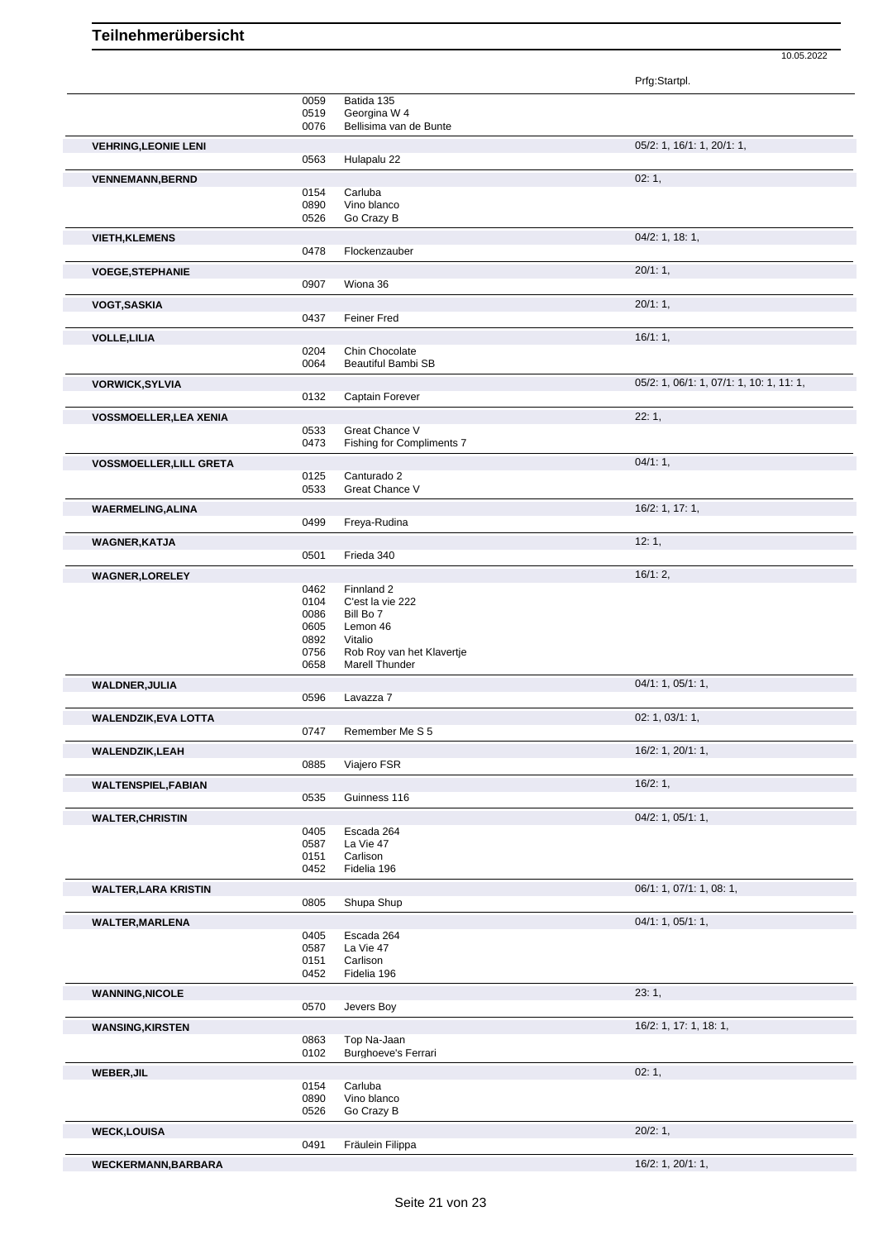| <sup>o</sup> rfo∵StartnI |  |  |  |
|--------------------------|--|--|--|
|                          |  |  |  |

|                                |              |                                      | Prfg:Startpl.                            |
|--------------------------------|--------------|--------------------------------------|------------------------------------------|
|                                | 0059         | Batida 135                           |                                          |
|                                | 0519         | Georgina W 4                         |                                          |
|                                | 0076         | Bellisima van de Bunte               |                                          |
| <b>VEHRING, LEONIE LENI</b>    |              |                                      | 05/2: 1, 16/1: 1, 20/1: 1,               |
|                                | 0563         | Hulapalu 22                          |                                          |
| <b>VENNEMANN, BERND</b>        |              |                                      | 02:1,                                    |
|                                | 0154         | Carluba                              |                                          |
|                                | 0890         | Vino blanco                          |                                          |
|                                | 0526         | Go Crazy B                           |                                          |
|                                |              |                                      | 04/2: 1, 18: 1,                          |
| <b>VIETH, KLEMENS</b>          | 0478         | Flockenzauber                        |                                          |
|                                |              |                                      |                                          |
| <b>VOEGE, STEPHANIE</b>        |              |                                      | 20/1:1,                                  |
|                                | 0907         | Wiona 36                             |                                          |
| <b>VOGT, SASKIA</b>            |              |                                      | 20/1:1,                                  |
|                                | 0437         | <b>Feiner Fred</b>                   |                                          |
| <b>VOLLE, LILIA</b>            |              |                                      | 16/1:1,                                  |
|                                | 0204         | Chin Chocolate                       |                                          |
|                                | 0064         | Beautiful Bambi SB                   |                                          |
|                                |              |                                      |                                          |
| <b>VORWICK, SYLVIA</b>         |              |                                      | 05/2: 1, 06/1: 1, 07/1: 1, 10: 1, 11: 1, |
|                                | 0132         | Captain Forever                      |                                          |
| <b>VOSSMOELLER, LEA XENIA</b>  |              |                                      | 22:1,                                    |
|                                | 0533         | Great Chance V                       |                                          |
|                                | 0473         | Fishing for Compliments 7            |                                          |
| <b>VOSSMOELLER, LILL GRETA</b> |              |                                      | $04/1:1$ ,                               |
|                                | 0125         | Canturado 2                          |                                          |
|                                | 0533         | Great Chance V                       |                                          |
| <b>WAERMELING, ALINA</b>       |              |                                      | 16/2: 1, 17: 1,                          |
|                                | 0499         | Freya-Rudina                         |                                          |
|                                |              |                                      |                                          |
| <b>WAGNER, KATJA</b>           |              |                                      | 12:1,                                    |
|                                | 0501         | Frieda 340                           |                                          |
| <b>WAGNER, LORELEY</b>         |              |                                      | 16/1:2,                                  |
|                                | 0462         | Finnland 2                           |                                          |
|                                | 0104         | C'est la vie 222                     |                                          |
|                                | 0086         | Bill Bo 7                            |                                          |
|                                | 0605         | Lemon 46                             |                                          |
|                                | 0892         | Vitalio<br>Rob Roy van het Klavertje |                                          |
|                                | 0756<br>0658 | Marell Thunder                       |                                          |
|                                |              |                                      |                                          |
| <b>WALDNER, JULIA</b>          |              |                                      | 04/1: 1, 05/1: 1,                        |
|                                | 0596         | Lavazza 7                            |                                          |
| <b>WALENDZIK, EVA LOTTA</b>    |              |                                      | 02: 1, 03/1: 1,                          |
|                                | 0747         | Remember Me S 5                      |                                          |
| <b>WALENDZIK, LEAH</b>         |              |                                      | 16/2: 1, 20/1: 1,                        |
|                                | 0885         | Viajero FSR                          |                                          |
|                                |              |                                      |                                          |
| <b>WALTENSPIEL, FABIAN</b>     |              |                                      | 16/2:1,                                  |
|                                | 0535         | Guinness 116                         |                                          |
| <b>WALTER, CHRISTIN</b>        |              |                                      | $04/2$ : 1, $05/1$ : 1,                  |
|                                | 0405         | Escada 264                           |                                          |
|                                | 0587         | La Vie 47                            |                                          |
|                                | 0151         | Carlison                             |                                          |
|                                | 0452         | Fidelia 196                          |                                          |
| <b>WALTER, LARA KRISTIN</b>    |              |                                      | 06/1: 1, 07/1: 1, 08: 1,                 |
|                                | 0805         | Shupa Shup                           |                                          |
| <b>WALTER, MARLENA</b>         |              |                                      | 04/1: 1, 05/1: 1,                        |
|                                | 0405         | Escada 264                           |                                          |
|                                | 0587         | La Vie 47                            |                                          |
|                                | 0151         | Carlison                             |                                          |
|                                | 0452         | Fidelia 196                          |                                          |
| <b>WANNING, NICOLE</b>         |              |                                      | 23:1,                                    |
|                                | 0570         | Jevers Boy                           |                                          |
|                                |              |                                      |                                          |
| <b>WANSING, KIRSTEN</b>        |              |                                      | 16/2: 1, 17: 1, 18: 1,                   |
|                                | 0863         | Top Na-Jaan                          |                                          |
|                                | 0102         | <b>Burghoeve's Ferrari</b>           |                                          |
| WEBER, JIL                     |              |                                      | 02:1,                                    |
|                                | 0154         | Carluba                              |                                          |
|                                | 0890         | Vino blanco                          |                                          |
|                                | 0526         | Go Crazy B                           |                                          |
| <b>WECK,LOUISA</b>             |              |                                      | 20/2:1,                                  |
|                                | 0491         | Fräulein Filippa                     |                                          |
| <b>WECKERMANN, BARBARA</b>     |              |                                      | 16/2: 1, 20/1: 1,                        |
|                                |              |                                      |                                          |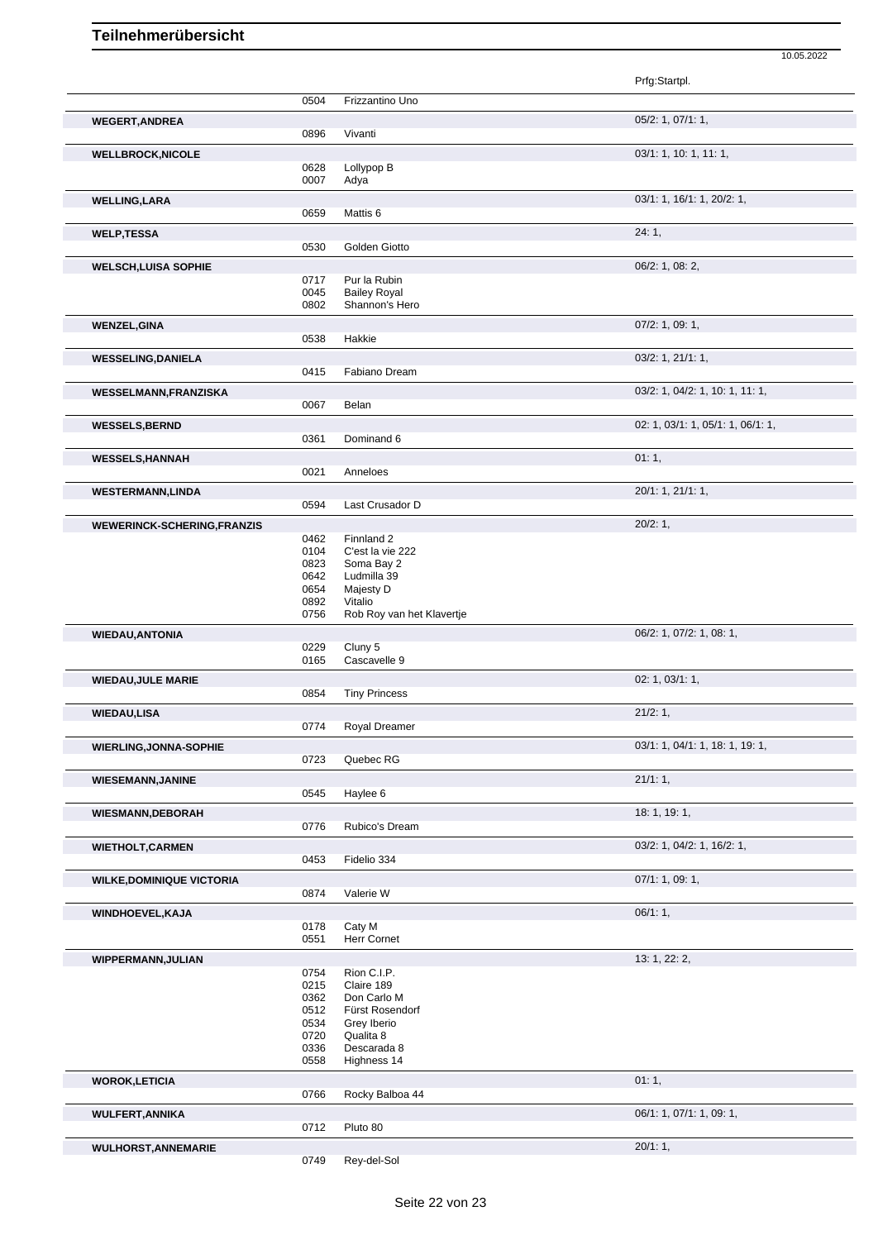|                                    |              |                           | Prfg:Startpl.                     |
|------------------------------------|--------------|---------------------------|-----------------------------------|
|                                    | 0504         | Frizzantino Uno           |                                   |
| <b>WEGERT, ANDREA</b>              |              |                           | $05/2$ : 1, 07/1: 1,              |
|                                    | 0896         | Vivanti                   |                                   |
| <b>WELLBROCK, NICOLE</b>           |              |                           | 03/1: 1, 10: 1, 11: 1,            |
|                                    | 0628         | Lollypop B                |                                   |
|                                    | 0007         | Adya                      |                                   |
| <b>WELLING, LARA</b>               |              |                           | 03/1: 1, 16/1: 1, 20/2: 1,        |
|                                    | 0659         | Mattis 6                  |                                   |
| <b>WELP, TESSA</b>                 |              |                           | 24:1,                             |
|                                    | 0530         | Golden Giotto             |                                   |
| <b>WELSCH, LUISA SOPHIE</b>        |              |                           | 06/2: 1, 08: 2,                   |
|                                    | 0717         | Pur la Rubin              |                                   |
|                                    | 0045         | <b>Bailey Royal</b>       |                                   |
|                                    | 0802         | Shannon's Hero            |                                   |
| <b>WENZEL, GINA</b>                |              |                           | 07/2: 1, 09: 1,                   |
|                                    | 0538         | Hakkie                    |                                   |
| <b>WESSELING, DANIELA</b>          |              |                           | 03/2: 1, 21/1: 1,                 |
|                                    | 0415         | Fabiano Dream             |                                   |
| WESSELMANN, FRANZISKA              |              |                           | 03/2: 1, 04/2: 1, 10: 1, 11: 1,   |
|                                    | 0067         | Belan                     |                                   |
| <b>WESSELS, BERND</b>              |              |                           | 02: 1, 03/1: 1, 05/1: 1, 06/1: 1, |
|                                    | 0361         | Dominand 6                |                                   |
| <b>WESSELS, HANNAH</b>             |              |                           | 01:1,                             |
|                                    | 0021         | Anneloes                  |                                   |
| <b>WESTERMANN,LINDA</b>            |              |                           | 20/1: 1, 21/1: 1,                 |
|                                    | 0594         | Last Crusador D           |                                   |
| <b>WEWERINCK-SCHERING, FRANZIS</b> |              |                           | 20/2:1,                           |
|                                    | 0462         | Finnland 2                |                                   |
|                                    | 0104         | C'est la vie 222          |                                   |
|                                    | 0823         | Soma Bay 2                |                                   |
|                                    | 0642<br>0654 | Ludmilla 39<br>Majesty D  |                                   |
|                                    | 0892         | Vitalio                   |                                   |
|                                    | 0756         | Rob Roy van het Klavertje |                                   |
| <b>WIEDAU, ANTONIA</b>             |              |                           | 06/2: 1, 07/2: 1, 08: 1,          |
|                                    | 0229         | Cluny 5                   |                                   |
|                                    | 0165         | Cascavelle 9              |                                   |
| <b>WIEDAU, JULE MARIE</b>          |              |                           | 02: 1, 03/1: 1,                   |
|                                    | 0854         | <b>Tiny Princess</b>      |                                   |
| <b>WIEDAU,LISA</b>                 |              |                           | 21/2:1,                           |
|                                    | 0774         | Royal Dreamer             |                                   |
| <b>WIERLING, JONNA-SOPHIE</b>      |              |                           | 03/1: 1, 04/1: 1, 18: 1, 19: 1,   |
|                                    | 0723         | Quebec RG                 |                                   |
| <b>WIESEMANN, JANINE</b>           |              |                           | 21/1:1,                           |
|                                    | 0545         | Haylee 6                  |                                   |
| <b>WIESMANN, DEBORAH</b>           |              |                           | 18: 1, 19: 1,                     |
|                                    | 0776         | Rubico's Dream            |                                   |
| <b>WIETHOLT, CARMEN</b>            |              |                           | 03/2: 1, 04/2: 1, 16/2: 1,        |
|                                    | 0453         | Fidelio 334               |                                   |
| <b>WILKE, DOMINIQUE VICTORIA</b>   |              |                           | 07/1: 1, 09: 1,                   |
|                                    | 0874         | Valerie W                 |                                   |
|                                    |              |                           | 06/1:1,                           |
| WINDHOEVEL, KAJA                   | 0178         | Caty M                    |                                   |
|                                    | 0551         | Herr Cornet               |                                   |
|                                    |              |                           | 13: 1, 22: 2,                     |
| WIPPERMANN, JULIAN                 | 0754         | Rion C.I.P.               |                                   |
|                                    | 0215         | Claire 189                |                                   |
|                                    | 0362         | Don Carlo M               |                                   |
|                                    | 0512         | Fürst Rosendorf           |                                   |
|                                    | 0534         | Grey Iberio               |                                   |
|                                    | 0720         | Qualita 8                 |                                   |
|                                    | 0336         | Descarada 8               |                                   |
|                                    | 0558         | Highness 14               |                                   |
| <b>WOROK,LETICIA</b>               |              |                           | 01:1,                             |
|                                    | 0766         | Rocky Balboa 44           |                                   |
| <b>WULFERT, ANNIKA</b>             |              |                           | 06/1: 1, 07/1: 1, 09: 1,          |
|                                    | 0712         | Pluto 80                  |                                   |
| <b>WULHORST, ANNEMARIE</b>         |              |                           | 20/1:1,                           |
|                                    | 0749         | Rey-del-Sol               |                                   |